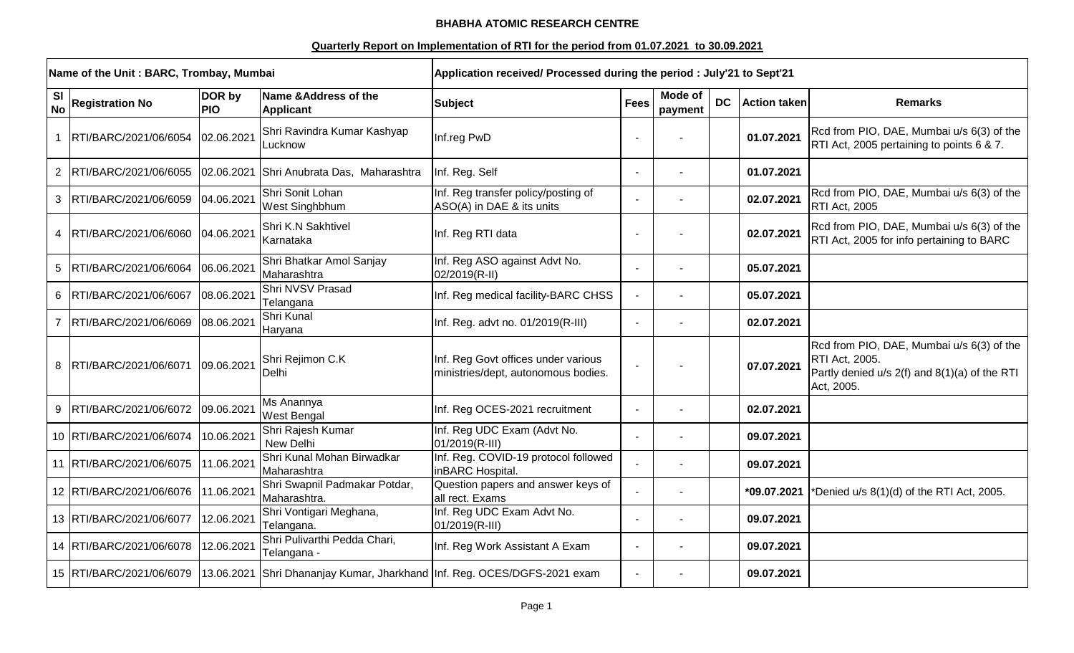## **BHABHA ATOMIC RESEARCH CENTRE**

## **Quarterly Report on Implementation of RTI for the period from 01.07.2021 to 30.09.2021**

|                        | Name of the Unit: BARC, Trombay, Mumbai |                      | Application received/ Processed during the period : July'21 to Sept'21   |                                                                            |             |                    |           |                     |                                                                                                                            |
|------------------------|-----------------------------------------|----------------------|--------------------------------------------------------------------------|----------------------------------------------------------------------------|-------------|--------------------|-----------|---------------------|----------------------------------------------------------------------------------------------------------------------------|
| <b>SI</b><br><b>No</b> | <b>Registration No</b>                  | DOR by<br><b>PIO</b> | Name & Address of the<br><b>Applicant</b>                                | <b>Subject</b>                                                             | <b>Fees</b> | Mode of<br>payment | <b>DC</b> | <b>Action taken</b> | <b>Remarks</b>                                                                                                             |
|                        | RTI/BARC/2021/06/6054                   | 02.06.2021           | Shri Ravindra Kumar Kashyap<br>_ucknow                                   | Inf.reg PwD                                                                |             |                    |           | 01.07.2021          | Rcd from PIO, DAE, Mumbai u/s 6(3) of the<br>RTI Act, 2005 pertaining to points 6 & 7.                                     |
|                        | 2 RTI/BARC/2021/06/6055                 |                      | 02.06.2021 Shri Anubrata Das, Maharashtra                                | Inf. Reg. Self                                                             |             |                    |           | 01.07.2021          |                                                                                                                            |
|                        | 3 RTI/BARC/2021/06/6059                 | 04.06.2021           | Shri Sonit Lohan<br>West Singhbhum                                       | Inf. Reg transfer policy/posting of<br>ASO(A) in DAE & its units           |             |                    |           | 02.07.2021          | Rcd from PIO, DAE, Mumbai u/s 6(3) of the<br>RTI Act, 2005                                                                 |
|                        | 4  RTI/BARC/2021/06/6060                | 04.06.2021           | Shri K.N Sakhtivel<br>Karnataka                                          | Inf. Reg RTI data                                                          |             |                    |           | 02.07.2021          | Rcd from PIO, DAE, Mumbai u/s 6(3) of the<br>RTI Act, 2005 for info pertaining to BARC                                     |
|                        | 5 RTI/BARC/2021/06/6064                 | 06.06.2021           | Shri Bhatkar Amol Sanjay<br>Maharashtra                                  | Inf. Reg ASO against Advt No.<br>02/2019(R-II)                             |             |                    |           | 05.07.2021          |                                                                                                                            |
|                        | 6 RTI/BARC/2021/06/6067                 | 08.06.2021           | Shri NVSV Prasad<br>Telangana                                            | Inf. Reg medical facility-BARC CHSS                                        |             |                    |           | 05.07.2021          |                                                                                                                            |
|                        | 7  RTI/BARC/2021/06/6069                | 08.06.2021           | Shri Kunal<br>Haryana                                                    | Inf. Reg. advt no. 01/2019(R-III)                                          |             |                    |           | 02.07.2021          |                                                                                                                            |
|                        | 8 RTI/BARC/2021/06/6071                 | 09.06.2021           | Shri Rejimon C.K<br>Delhi                                                | Inf. Reg Govt offices under various<br>ministries/dept, autonomous bodies. |             |                    |           | 07.07.2021          | Rcd from PIO, DAE, Mumbai u/s 6(3) of the<br>RTI Act, 2005.<br>Partly denied u/s 2(f) and 8(1)(a) of the RTI<br>Act, 2005. |
|                        | 9 RTI/BARC/2021/06/6072                 | 09.06.2021           | Ms Anannya<br><b>West Bengal</b>                                         | Inf. Reg OCES-2021 recruitment                                             |             |                    |           | 02.07.2021          |                                                                                                                            |
|                        | 10 RTI/BARC/2021/06/6074                | 10.06.2021           | Shri Rajesh Kumar<br>New Delhi                                           | Inf. Reg UDC Exam (Advt No.<br>01/2019(R-III)                              |             |                    |           | 09.07.2021          |                                                                                                                            |
|                        | 11 RTI/BARC/2021/06/6075                | 11.06.2021           | Shri Kunal Mohan Birwadkar<br>Maharashtra                                | Inf. Reg. COVID-19 protocol followed<br>inBARC Hospital.                   |             |                    |           | 09.07.2021          |                                                                                                                            |
|                        | 12 RTI/BARC/2021/06/6076                | 11.06.2021           | Shri Swapnil Padmakar Potdar,<br>Maharashtra.                            | Question papers and answer keys of<br>all rect. Exams                      |             |                    |           | *09.07.2021         | *Denied u/s 8(1)(d) of the RTI Act, 2005.                                                                                  |
|                        | 13 RTI/BARC/2021/06/6077                | 12.06.2021           | Shri Vontigari Meghana,<br>Telangana.                                    | Inf. Reg UDC Exam Advt No.<br>01/2019(R-III)                               |             |                    |           | 09.07.2021          |                                                                                                                            |
|                        | 14 RTI/BARC/2021/06/6078                | 12.06.2021           | Shri Pulivarthi Pedda Chari,<br>Telangana -                              | Inf. Reg Work Assistant A Exam                                             |             |                    |           | 09.07.2021          |                                                                                                                            |
|                        | 15 RTI/BARC/2021/06/6079                |                      | 13.06.2021 Shri Dhananjay Kumar, Jharkhand Inf. Reg. OCES/DGFS-2021 exam |                                                                            |             |                    |           | 09.07.2021          |                                                                                                                            |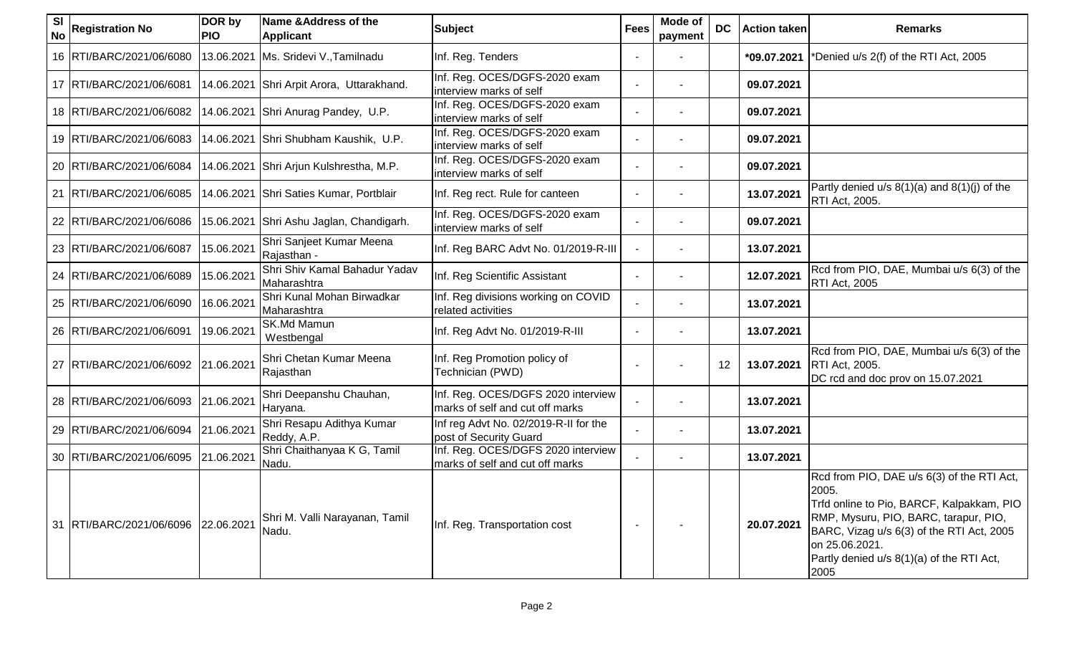| <b>SI</b><br><b>No</b> | <b>Registration No</b>                | DOR by<br><b>PIO</b> | Name & Address of the<br><b>Applicant</b>    | <b>Subject</b>                                                        | <b>Fees</b> | <b>Mode of</b><br>payment | <b>DC</b> | <b>Action taken</b> | <b>Remarks</b>                                                                                                                                                                                                                                                |
|------------------------|---------------------------------------|----------------------|----------------------------------------------|-----------------------------------------------------------------------|-------------|---------------------------|-----------|---------------------|---------------------------------------------------------------------------------------------------------------------------------------------------------------------------------------------------------------------------------------------------------------|
|                        | 16 RTI/BARC/2021/06/6080              |                      | 13.06.2021   Ms. Sridevi V., Tamilnadu       | Inf. Reg. Tenders                                                     |             |                           |           | *09.07.2021         | *Denied u/s 2(f) of the RTI Act, 2005                                                                                                                                                                                                                         |
|                        | 17   RTI/BARC/2021/06/6081            |                      | 14.06.2021 Shri Arpit Arora, Uttarakhand.    | Inf. Reg. OCES/DGFS-2020 exam<br>interview marks of self              |             |                           |           | 09.07.2021          |                                                                                                                                                                                                                                                               |
|                        | 18 RTI/BARC/2021/06/6082              |                      | 14.06.2021 Shri Anurag Pandey, U.P.          | Inf. Reg. OCES/DGFS-2020 exam<br>interview marks of self              |             |                           |           | 09.07.2021          |                                                                                                                                                                                                                                                               |
|                        | 19 RTI/BARC/2021/06/6083              |                      | 14.06.2021 Shri Shubham Kaushik, U.P.        | Inf. Reg. OCES/DGFS-2020 exam<br>interview marks of self              |             |                           |           | 09.07.2021          |                                                                                                                                                                                                                                                               |
|                        | 20 RTI/BARC/2021/06/6084              |                      | 14.06.2021 Shri Arjun Kulshrestha, M.P.      | Inf. Reg. OCES/DGFS-2020 exam<br>interview marks of self              |             |                           |           | 09.07.2021          |                                                                                                                                                                                                                                                               |
|                        | 21   RTI/BARC/2021/06/6085            |                      | 14.06.2021 Shri Saties Kumar, Portblair      | Inf. Reg rect. Rule for canteen                                       |             |                           |           | 13.07.2021          | Partly denied $u/s$ 8(1)(a) and 8(1)(j) of the<br>RTI Act, 2005.                                                                                                                                                                                              |
|                        | 22 RTI/BARC/2021/06/6086              | 15.06.2021           | Shri Ashu Jaglan, Chandigarh.                | Inf. Reg. OCES/DGFS-2020 exam<br>interview marks of self              |             |                           |           | 09.07.2021          |                                                                                                                                                                                                                                                               |
|                        | 23 RTI/BARC/2021/06/6087              | 15.06.2021           | Shri Sanjeet Kumar Meena<br>Rajasthan -      | Inf. Reg BARC Advt No. 01/2019-R-III                                  |             |                           |           | 13.07.2021          |                                                                                                                                                                                                                                                               |
|                        | 24 RTI/BARC/2021/06/6089              | 15.06.2021           | Shri Shiv Kamal Bahadur Yadav<br>Maharashtra | Inf. Reg Scientific Assistant                                         |             |                           |           | 12.07.2021          | Rcd from PIO, DAE, Mumbai u/s 6(3) of the<br>RTI Act, 2005                                                                                                                                                                                                    |
|                        | 25   RTI/BARC/2021/06/6090            | 16.06.2021           | Shri Kunal Mohan Birwadkar<br>Maharashtra    | Inf. Reg divisions working on COVID<br>related activities             |             |                           |           | 13.07.2021          |                                                                                                                                                                                                                                                               |
|                        | 26 RTI/BARC/2021/06/6091              | 19.06.2021           | SK.Md Mamun<br>Westbengal                    | Inf. Reg Advt No. 01/2019-R-III                                       |             |                           |           | 13.07.2021          |                                                                                                                                                                                                                                                               |
|                        | 27 RTI/BARC/2021/06/6092              | 21.06.2021           | Shri Chetan Kumar Meena<br>Rajasthan         | Inf. Reg Promotion policy of<br>Technician (PWD)                      |             |                           | 12        | 13.07.2021          | Rcd from PIO, DAE, Mumbai u/s 6(3) of the<br>RTI Act, 2005.<br>DC rcd and doc prov on 15.07.2021                                                                                                                                                              |
|                        | 28 RTI/BARC/2021/06/6093              | 21.06.2021           | Shri Deepanshu Chauhan,<br>Haryana.          | Inf. Reg. OCES/DGFS 2020 interview<br>marks of self and cut off marks |             |                           |           | 13.07.2021          |                                                                                                                                                                                                                                                               |
|                        | 29 RTI/BARC/2021/06/6094 21.06.2021   |                      | Shri Resapu Adithya Kumar<br>Reddy, A.P.     | Inf reg Advt No. 02/2019-R-II for the<br>post of Security Guard       |             |                           |           | 13.07.2021          |                                                                                                                                                                                                                                                               |
|                        | 30 RTI/BARC/2021/06/6095              | 21.06.2021           | Shri Chaithanyaa K G, Tamil<br>Nadu.         | Inf. Reg. OCES/DGFS 2020 interview<br>marks of self and cut off marks |             |                           |           | 13.07.2021          |                                                                                                                                                                                                                                                               |
|                        | 31  RTI/BARC/2021/06/6096  22.06.2021 |                      | Shri M. Valli Narayanan, Tamil<br>Nadu.      | Inf. Reg. Transportation cost                                         |             |                           |           | 20.07.2021          | Rcd from PIO, DAE u/s 6(3) of the RTI Act,<br>2005.<br>Trfd online to Pio, BARCF, Kalpakkam, PIO<br>RMP, Mysuru, PIO, BARC, tarapur, PIO,<br>BARC, Vizag u/s 6(3) of the RTI Act, 2005<br>on 25.06.2021.<br>Partly denied u/s 8(1)(a) of the RTI Act,<br>2005 |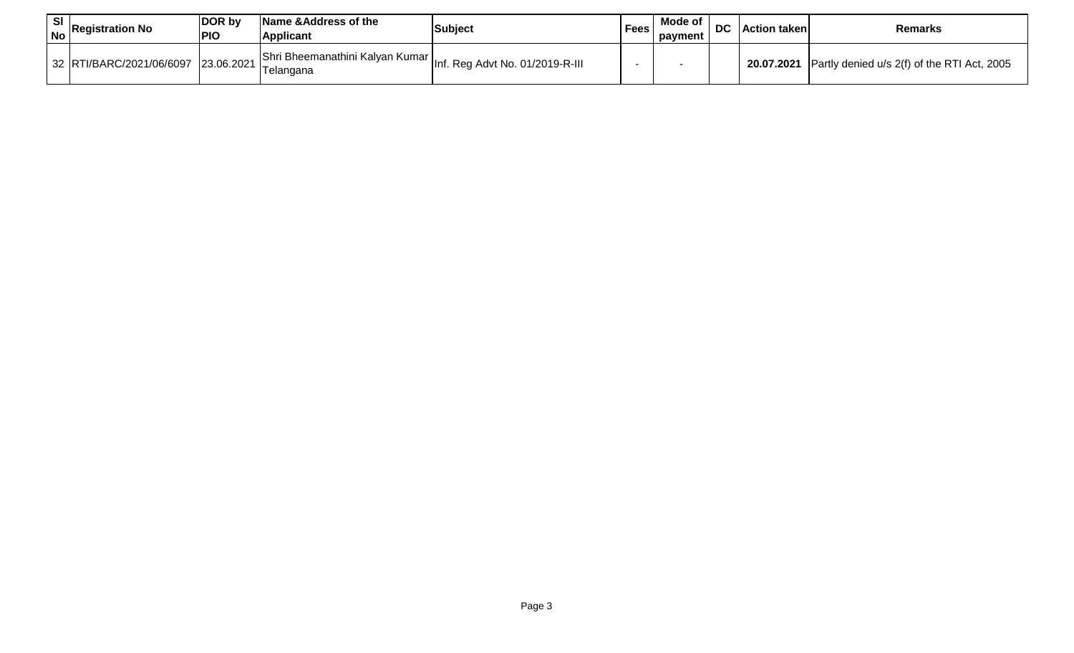| SI<br><b>No</b> | <b>Registration No</b>   | DOR by<br><b>PIO</b> | Name & Address of the<br><b>Applicant</b> | <b>Subject</b>                                                               | <b>Fees</b> | Mode of<br>payment | <b>DC</b> | l Action taken | <b>Remarks</b>                              |
|-----------------|--------------------------|----------------------|-------------------------------------------|------------------------------------------------------------------------------|-------------|--------------------|-----------|----------------|---------------------------------------------|
|                 | 32 RTI/BARC/2021/06/6097 | 23.06.2021           | Telangana                                 | -- - - -   Shri Bheemanathini Kalyan Kumar   Inf. Reg Advt No. 01/2019-R-III |             |                    |           | 20.07.2021     | Partly denied u/s 2(f) of the RTI Act, 2005 |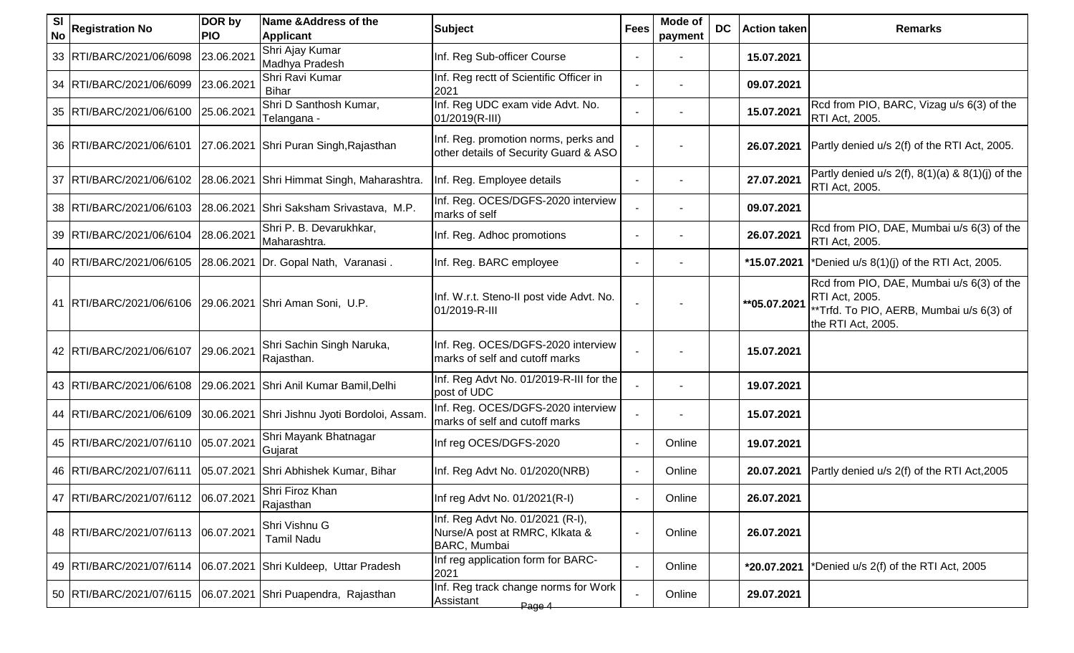| <b>SI</b><br><b>No</b> | <b>Registration No</b>                                         | DOR by<br><b>PIO</b> | Name & Address of the<br><b>Applicant</b>  | <b>Subject</b>                                                                     | <b>Fees</b>    | Mode of<br>payment | <b>DC</b> | <b>Action taken</b> | <b>Remarks</b>                                                                                                                |
|------------------------|----------------------------------------------------------------|----------------------|--------------------------------------------|------------------------------------------------------------------------------------|----------------|--------------------|-----------|---------------------|-------------------------------------------------------------------------------------------------------------------------------|
|                        | 33 RTI/BARC/2021/06/6098                                       | 23.06.2021           | Shri Ajay Kumar<br>Madhya Pradesh          | Inf. Reg Sub-officer Course                                                        |                |                    |           | 15.07.2021          |                                                                                                                               |
|                        | 34   RTI/BARC/2021/06/6099                                     | 23.06.2021           | Shri Ravi Kumar<br><b>Bihar</b>            | Inf. Reg rectt of Scientific Officer in<br>2021                                    |                |                    |           | 09.07.2021          |                                                                                                                               |
|                        | 35 RTI/BARC/2021/06/6100                                       | 25.06.2021           | Shri D Santhosh Kumar,<br>Telangana -      | Inf. Reg UDC exam vide Advt. No.<br>01/2019(R-III)                                 |                |                    |           | 15.07.2021          | Rcd from PIO, BARC, Vizag u/s 6(3) of the<br><b>RTI Act, 2005.</b>                                                            |
|                        | 36   RTI/BARC/2021/06/6101                                     |                      | 27.06.2021 Shri Puran Singh, Rajasthan     | Inf. Reg. promotion norms, perks and<br>other details of Security Guard & ASO      |                |                    |           | 26.07.2021          | Partly denied u/s 2(f) of the RTI Act, 2005.                                                                                  |
|                        | 37 RTI/BARC/2021/06/6102                                       |                      | 28.06.2021 Shri Himmat Singh, Maharashtra. | Inf. Reg. Employee details                                                         |                |                    |           | 27.07.2021          | Partly denied u/s $2(f)$ , $8(1)(a)$ & $8(1)(j)$ of the<br>RTI Act, 2005.                                                     |
|                        | 38 RTI/BARC/2021/06/6103                                       |                      | 28.06.2021 Shri Saksham Srivastava, M.P.   | Inf. Reg. OCES/DGFS-2020 interview<br>marks of self                                |                |                    |           | 09.07.2021          |                                                                                                                               |
|                        | 39 RTI/BARC/2021/06/6104                                       | 28.06.2021           | Shri P. B. Devarukhkar,<br>Maharashtra.    | Inf. Reg. Adhoc promotions                                                         |                |                    |           | 26.07.2021          | Rcd from PIO, DAE, Mumbai u/s 6(3) of the<br>RTI Act, 2005.                                                                   |
|                        | 40   RTI/BARC/2021/06/6105                                     | 28.06.2021           | Dr. Gopal Nath, Varanasi.                  | Inf. Reg. BARC employee                                                            |                |                    |           | *15.07.2021         | *Denied u/s 8(1)(j) of the RTI Act, 2005.                                                                                     |
|                        | 41   RTI/BARC/2021/06/6106   29.06.2021   Shri Aman Soni, U.P. |                      |                                            | Inf. W.r.t. Steno-II post vide Advt. No.<br>01/2019-R-III                          |                |                    |           | ** 05.07.2021       | Rcd from PIO, DAE, Mumbai u/s 6(3) of the<br>RTI Act, 2005.<br>**Trfd. To PIO, AERB, Mumbai u/s 6(3) of<br>the RTI Act, 2005. |
|                        | 42 RTI/BARC/2021/06/6107                                       | 29.06.2021           | Shri Sachin Singh Naruka,<br>Rajasthan.    | Inf. Reg. OCES/DGFS-2020 interview<br>marks of self and cutoff marks               |                |                    |           | 15.07.2021          |                                                                                                                               |
|                        | 43 RTI/BARC/2021/06/6108                                       | 29.06.2021           | Shri Anil Kumar Bamil, Delhi               | Inf. Reg Advt No. 01/2019-R-III for the<br>post of UDC                             |                |                    |           | 19.07.2021          |                                                                                                                               |
|                        | 44   RTI/BARC/2021/06/6109                                     | 30.06.2021           | Shri Jishnu Jyoti Bordoloi, Assam.         | Inf. Reg. OCES/DGFS-2020 interview<br>marks of self and cutoff marks               |                |                    |           | 15.07.2021          |                                                                                                                               |
|                        | 45 RTI/BARC/2021/07/6110                                       | 05.07.2021           | Shri Mayank Bhatnagar<br>Gujarat           | Inf reg OCES/DGFS-2020                                                             |                | Online             |           | 19.07.2021          |                                                                                                                               |
|                        | 46   RTI/BARC/2021/07/6111                                     | 05.07.2021           | Shri Abhishek Kumar, Bihar                 | Inf. Reg Advt No. 01/2020(NRB)                                                     |                | Online             |           | 20.07.2021          | Partly denied u/s 2(f) of the RTI Act, 2005                                                                                   |
|                        | 47   RTI/BARC/2021/07/6112   06.07.2021                        |                      | Shri Firoz Khan<br>Rajasthan               | Inf reg Advt No. 01/2021(R-I)                                                      |                | Online             |           | 26.07.2021          |                                                                                                                               |
|                        | 48 RTI/BARC/2021/07/6113                                       | 06.07.2021           | Shri Vishnu G<br><b>Tamil Nadu</b>         | Inf. Reg Advt No. 01/2021 (R-I),<br>Nurse/A post at RMRC, Klkata &<br>BARC, Mumbai | $\blacksquare$ | Online             |           | 26.07.2021          |                                                                                                                               |
|                        | 49   RTI/BARC/2021/07/6114                                     | 06.07.2021           | Shri Kuldeep, Uttar Pradesh                | Inf reg application form for BARC-<br>2021                                         |                | Online             |           | *20.07.2021         | *Denied u/s 2(f) of the RTI Act, 2005                                                                                         |
|                        | 50 RTI/BARC/2021/07/6115                                       |                      | 06.07.2021 Shri Puapendra, Rajasthan       | Inf. Reg track change norms for Work<br>Assistant<br>Page 4                        |                | Online             |           | 29.07.2021          |                                                                                                                               |
|                        |                                                                |                      |                                            |                                                                                    |                |                    |           |                     |                                                                                                                               |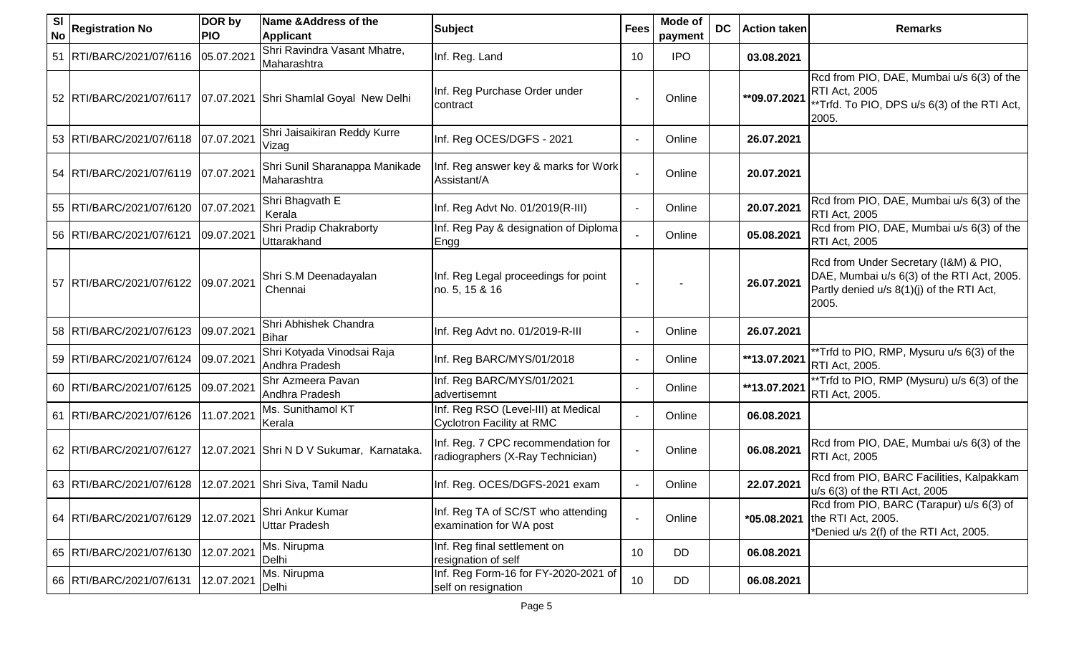| <b>SI</b><br><b>No</b> | <b>Registration No</b>   | DOR by<br><b>PIO</b> | Name & Address of the<br><b>Applicant</b>                        | <b>Subject</b>                                                         | <b>Fees</b> | Mode of<br>payment | <b>DC</b> | <b>Action taken</b> | <b>Remarks</b>                                                                                                                            |
|------------------------|--------------------------|----------------------|------------------------------------------------------------------|------------------------------------------------------------------------|-------------|--------------------|-----------|---------------------|-------------------------------------------------------------------------------------------------------------------------------------------|
| 51                     | RTI/BARC/2021/07/6116    | 05.07.2021           | Shri Ravindra Vasant Mhatre,<br>Maharashtra                      | Inf. Reg. Land                                                         | 10          | <b>IPO</b>         |           | 03.08.2021          |                                                                                                                                           |
|                        |                          |                      | 52 RTI/BARC/2021/07/6117 07.07.2021 Shri Shamlal Goyal New Delhi | Inf. Reg Purchase Order under<br>contract                              |             | Online             |           | **09.07.2021        | Rcd from PIO, DAE, Mumbai u/s 6(3) of the<br><b>RTI Act, 2005</b><br>**Trfd. To PIO, DPS u/s 6(3) of the RTI Act,<br>2005.                |
|                        | 53 RTI/BARC/2021/07/6118 | 07.07.2021           | Shri Jaisaikiran Reddy Kurre<br>Vizag                            | Inf. Reg OCES/DGFS - 2021                                              |             | Online             |           | 26.07.2021          |                                                                                                                                           |
|                        | 54 RTI/BARC/2021/07/6119 | 07.07.2021           | Shri Sunil Sharanappa Manikade<br>Maharashtra                    | Inf. Reg answer key & marks for Work<br>Assistant/A                    |             | Online             |           | 20.07.2021          |                                                                                                                                           |
|                        | 55 RTI/BARC/2021/07/6120 | 07.07.2021           | Shri Bhagvath E<br>Kerala                                        | Inf. Reg Advt No. 01/2019(R-III)                                       |             | Online             |           | 20.07.2021          | Rcd from PIO, DAE, Mumbai u/s 6(3) of the<br>RTI Act, 2005                                                                                |
|                        | 56 RTI/BARC/2021/07/6121 | 09.07.2021           | Shri Pradip Chakraborty<br><b>Uttarakhand</b>                    | Inf. Reg Pay & designation of Diploma<br>Engg                          |             | Online             |           | 05.08.2021          | Rcd from PIO, DAE, Mumbai u/s 6(3) of the<br><b>RTI Act, 2005</b>                                                                         |
|                        | 57 RTI/BARC/2021/07/6122 | 09.07.2021           | Shri S.M Deenadayalan<br>Chennai                                 | Inf. Reg Legal proceedings for point<br>no. 5, 15 & 16                 |             |                    |           | 26.07.2021          | Rcd from Under Secretary (I&M) & PIO,<br>DAE, Mumbai u/s 6(3) of the RTI Act, 2005.<br>Partly denied u/s 8(1)(j) of the RTI Act,<br>2005. |
|                        | 58 RTI/BARC/2021/07/6123 | 09.07.2021           | Shri Abhishek Chandra<br><b>Bihar</b>                            | Inf. Reg Advt no. 01/2019-R-III                                        |             | Online             |           | 26.07.2021          |                                                                                                                                           |
|                        | 59 RTI/BARC/2021/07/6124 | 09.07.2021           | Shri Kotyada Vinodsai Raja<br>Andhra Pradesh                     | Inf. Reg BARC/MYS/01/2018                                              |             | Online             |           | **13.07.2021        | **Trfd to PIO, RMP, Mysuru u/s 6(3) of the<br>RTI Act, 2005.                                                                              |
|                        | 60 RTI/BARC/2021/07/6125 | 09.07.2021           | Shr Azmeera Pavan<br>Andhra Pradesh                              | Inf. Reg BARC/MYS/01/2021<br>advertisemnt                              |             | Online             |           | **13.07.2021        | **Trfd to PIO, RMP (Mysuru) u/s 6(3) of the<br>RTI Act, 2005.                                                                             |
| 61                     | RTI/BARC/2021/07/6126    | 11.07.2021           | Ms. Sunithamol KT<br>Kerala                                      | Inf. Reg RSO (Level-III) at Medical<br>Cyclotron Facility at RMC       |             | Online             |           | 06.08.2021          |                                                                                                                                           |
|                        | 62 RTI/BARC/2021/07/6127 |                      | 12.07.2021 Shri N D V Sukumar, Karnataka.                        | Inf. Reg. 7 CPC recommendation for<br>radiographers (X-Ray Technician) |             | Online             |           | 06.08.2021          | Rcd from PIO, DAE, Mumbai u/s 6(3) of the<br>RTI Act, 2005                                                                                |
|                        | 63 RTI/BARC/2021/07/6128 |                      | 12.07.2021 Shri Siva, Tamil Nadu                                 | Inf. Reg. OCES/DGFS-2021 exam                                          |             | Online             |           | 22.07.2021          | Rcd from PIO, BARC Facilities, Kalpakkam<br>u/s 6(3) of the RTI Act, 2005                                                                 |
|                        | 64 RTI/BARC/2021/07/6129 | 12.07.2021           | Shri Ankur Kumar<br>Uttar Pradesh                                | Inf. Reg TA of SC/ST who attending<br>examination for WA post          |             | Online             |           | *05.08.2021         | Rcd from PIO, BARC (Tarapur) u/s 6(3) of<br>the RTI Act, 2005.<br>*Denied u/s 2(f) of the RTI Act, 2005.                                  |
|                        | 65 RTI/BARC/2021/07/6130 | 12.07.2021           | Ms. Nirupma<br>Delhi                                             | Inf. Reg final settlement on<br>resignation of self                    | 10          | DD                 |           | 06.08.2021          |                                                                                                                                           |
|                        | 66 RTI/BARC/2021/07/6131 | 12.07.2021           | Ms. Nirupma<br>Delhi                                             | Inf. Reg Form-16 for FY-2020-2021 of<br>self on resignation            | 10          | DD                 |           | 06.08.2021          |                                                                                                                                           |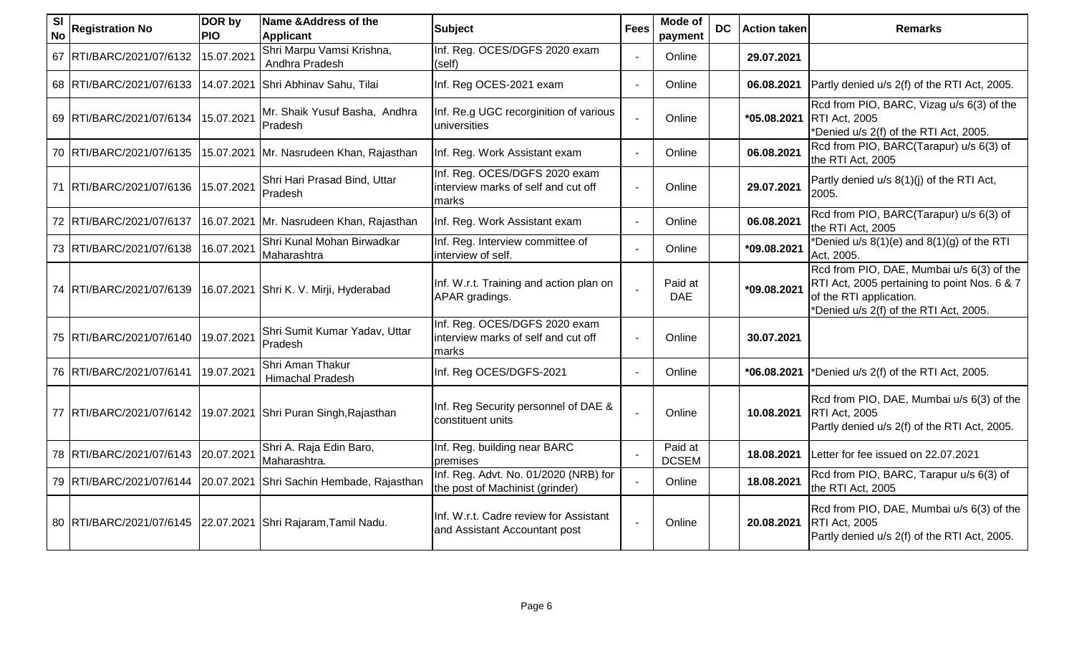| <b>SI</b><br><b>No</b> | <b>Registration No</b>     | DOR by<br><b>PIO</b> | Name & Address of the<br><b>Applicant</b>                         | <b>Subject</b>                                                                 | <b>Fees</b> | Mode of<br>payment      | DC. | <b>Action taken</b> | <b>Remarks</b>                                                                                                                                                 |
|------------------------|----------------------------|----------------------|-------------------------------------------------------------------|--------------------------------------------------------------------------------|-------------|-------------------------|-----|---------------------|----------------------------------------------------------------------------------------------------------------------------------------------------------------|
|                        | 67 RTI/BARC/2021/07/6132   | 15.07.2021           | Shri Marpu Vamsi Krishna,<br>Andhra Pradesh                       | Inf. Reg. OCES/DGFS 2020 exam<br>(self)                                        |             | Online                  |     | 29.07.2021          |                                                                                                                                                                |
|                        | 68 RTI/BARC/2021/07/6133   |                      | 14.07.2021 Shri Abhinav Sahu, Tilai                               | Inf. Reg OCES-2021 exam                                                        |             | Online                  |     | 06.08.2021          | Partly denied u/s 2(f) of the RTI Act, 2005.                                                                                                                   |
|                        | 69 RTI/BARC/2021/07/6134   | 15.07.2021           | Mr. Shaik Yusuf Basha, Andhra<br>Pradesh                          | Inf. Re.g UGC recorginition of various<br>luniversities                        |             | Online                  |     | *05.08.2021         | Rcd from PIO, BARC, Vizag u/s 6(3) of the<br><b>RTI Act, 2005</b><br>*Denied u/s 2(f) of the RTI Act, 2005.                                                    |
|                        | 70 RTI/BARC/2021/07/6135   | 15.07.2021           | Mr. Nasrudeen Khan, Rajasthan                                     | Inf. Reg. Work Assistant exam                                                  |             | Online                  |     | 06.08.2021          | Rcd from PIO, BARC(Tarapur) u/s 6(3) of<br>the RTI Act, 2005                                                                                                   |
|                        | 71 RTI/BARC/2021/07/6136   | 15.07.2021           | Shri Hari Prasad Bind, Uttar<br>Pradesh                           | Inf. Reg. OCES/DGFS 2020 exam<br>interview marks of self and cut off<br>marks  |             | Online                  |     | 29.07.2021          | Partly denied u/s 8(1)(j) of the RTI Act,<br>2005.                                                                                                             |
|                        | 72 RTI/BARC/2021/07/6137   |                      | 16.07.2021 Mr. Nasrudeen Khan, Rajasthan                          | Inf. Reg. Work Assistant exam                                                  |             | Online                  |     | 06.08.2021          | Rcd from PIO, BARC(Tarapur) u/s 6(3) of<br>the RTI Act, 2005                                                                                                   |
|                        | 73 RTI/BARC/2021/07/6138   | 16.07.2021           | Shri Kunal Mohan Birwadkar<br>Maharashtra                         | Inf. Reg. Interview committee of<br>interview of self.                         |             | Online                  |     | *09.08.2021         | *Denied $u/s$ 8(1)(e) and 8(1)(g) of the RTI<br>Act, 2005.                                                                                                     |
|                        | 74 RTI/BARC/2021/07/6139   |                      | 16.07.2021 Shri K. V. Mirji, Hyderabad                            | Inf. W.r.t. Training and action plan on<br>APAR gradings.                      |             | Paid at<br><b>DAE</b>   |     | *09.08.2021         | Rcd from PIO, DAE, Mumbai u/s 6(3) of the<br>RTI Act, 2005 pertaining to point Nos. 6 & 7<br>of the RTI application.<br>*Denied u/s 2(f) of the RTI Act, 2005. |
|                        | 75   RTI/BARC/2021/07/6140 | 19.07.2021           | Shri Sumit Kumar Yadav, Uttar<br>Pradesh                          | Inf. Reg. OCES/DGFS 2020 exam<br>interview marks of self and cut off<br>lmarks |             | Online                  |     | 30.07.2021          |                                                                                                                                                                |
|                        | 76 RTI/BARC/2021/07/6141   | 19.07.2021           | Shri Aman Thakur<br><b>Himachal Pradesh</b>                       | Inf. Reg OCES/DGFS-2021                                                        |             | Online                  |     | *06.08.2021         | *Denied u/s 2(f) of the RTI Act, 2005.                                                                                                                         |
|                        | 77   RTI/BARC/2021/07/6142 |                      | 19.07.2021 Shri Puran Singh, Rajasthan                            | Inf. Reg Security personnel of DAE &<br>constituent units                      |             | Online                  |     | 10.08.2021          | Rcd from PIO, DAE, Mumbai u/s 6(3) of the<br><b>RTI Act, 2005</b><br>Partly denied u/s 2(f) of the RTI Act, 2005.                                              |
|                        | 78 RTI/BARC/2021/07/6143   | 20.07.2021           | Shri A. Raja Edin Baro,<br>Maharashtra.                           | Inf. Reg. building near BARC<br>premises                                       |             | Paid at<br><b>DCSEM</b> |     | 18.08.2021          | Letter for fee issued on 22.07.2021                                                                                                                            |
|                        | 79 RTI/BARC/2021/07/6144   | 20.07.2021           | Shri Sachin Hembade, Rajasthan                                    | Inf. Reg. Advt. No. 01/2020 (NRB) for<br>the post of Machinist (grinder)       |             | Online                  |     | 18.08.2021          | Rcd from PIO, BARC, Tarapur u/s 6(3) of<br>the RTI Act, 2005                                                                                                   |
|                        |                            |                      | 80   RTI/BARC/2021/07/6145   22.07.2021 Shri Rajaram, Tamil Nadu. | Inf. W.r.t. Cadre review for Assistant<br>and Assistant Accountant post        |             | Online                  |     | 20.08.2021          | Rcd from PIO, DAE, Mumbai u/s 6(3) of the<br><b>RTI Act, 2005</b><br>Partly denied u/s 2(f) of the RTI Act, 2005.                                              |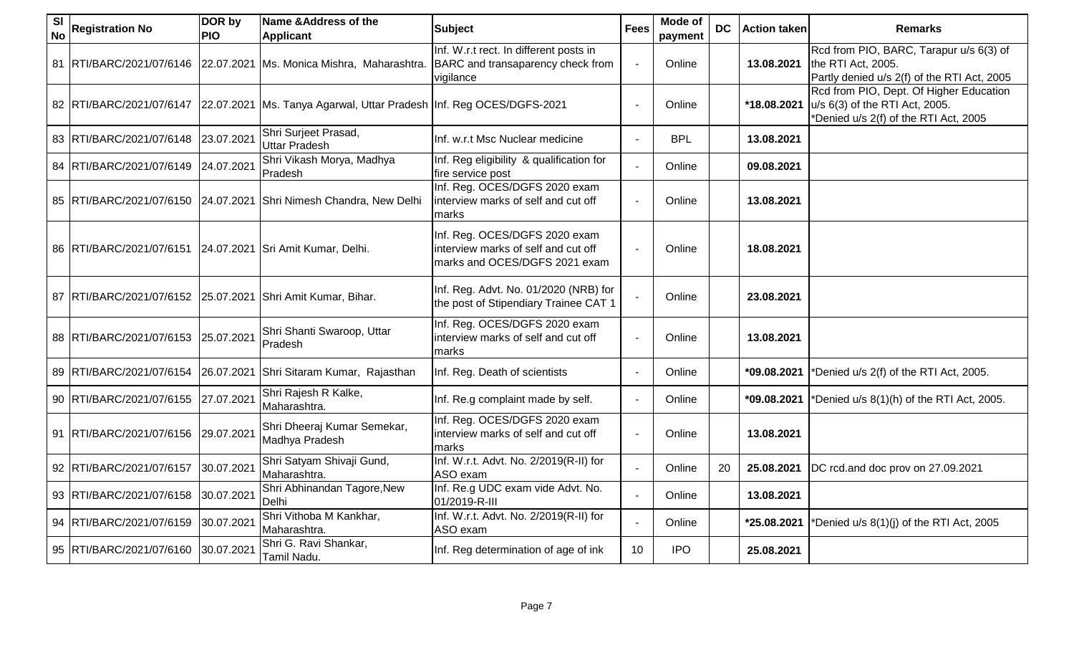| <b>SI</b><br><b>No</b> | <b>Registration No</b>                                     | DOR by<br><b>PIO</b> | Name & Address of the<br><b>Applicant</b>                               | <b>Subject</b>                                                                                        | <b>Fees</b> | Mode of<br>payment | <b>DC</b> | <b>Action taken</b> | <b>Remarks</b>                                                                                                     |
|------------------------|------------------------------------------------------------|----------------------|-------------------------------------------------------------------------|-------------------------------------------------------------------------------------------------------|-------------|--------------------|-----------|---------------------|--------------------------------------------------------------------------------------------------------------------|
|                        | 81 RTI/BARC/2021/07/6146                                   |                      | 22.07.2021   Ms. Monica Mishra, Maharashtra.                            | Inf. W.r.t rect. In different posts in<br>BARC and transaparency check from<br>vigilance              |             | Online             |           | 13.08.2021          | Rcd from PIO, BARC, Tarapur u/s 6(3) of<br>the RTI Act, 2005.<br>Partly denied u/s 2(f) of the RTI Act, 2005       |
|                        | 82 RTI/BARC/2021/07/6147                                   |                      | 22.07.2021   Ms. Tanya Agarwal, Uttar Pradesh   Inf. Reg OCES/DGFS-2021 |                                                                                                       |             | Online             |           | *18.08.2021         | Rcd from PIO, Dept. Of Higher Education<br>u/s 6(3) of the RTI Act, 2005.<br>*Denied u/s 2(f) of the RTI Act, 2005 |
|                        | 83 RTI/BARC/2021/07/6148                                   | 23.07.2021           | Shri Surjeet Prasad,<br>Uttar Pradesh                                   | Inf. w.r.t Msc Nuclear medicine                                                                       |             | <b>BPL</b>         |           | 13.08.2021          |                                                                                                                    |
|                        | 84 RTI/BARC/2021/07/6149                                   | 24.07.2021           | Shri Vikash Morya, Madhya<br>Pradesh                                    | Inf. Reg eligibility & qualification for<br>fire service post                                         |             | Online             |           | 09.08.2021          |                                                                                                                    |
|                        | 85 RTI/BARC/2021/07/6150 24.07.2021                        |                      | Shri Nimesh Chandra, New Delhi                                          | Inf. Reg. OCES/DGFS 2020 exam<br>interview marks of self and cut off<br>marks                         |             | Online             |           | 13.08.2021          |                                                                                                                    |
|                        | 86 RTI/BARC/2021/07/6151 24.07.2021 Sri Amit Kumar, Delhi. |                      |                                                                         | Inf. Reg. OCES/DGFS 2020 exam<br>interview marks of self and cut off<br>marks and OCES/DGFS 2021 exam |             | Online             |           | 18.08.2021          |                                                                                                                    |
|                        | 87 RTI/BARC/2021/07/6152 25.07.2021                        |                      | Shri Amit Kumar, Bihar.                                                 | Inf. Reg. Advt. No. 01/2020 (NRB) for<br>the post of Stipendiary Trainee CAT 1                        |             | Online             |           | 23.08.2021          |                                                                                                                    |
|                        | 88 RTI/BARC/2021/07/6153                                   | 25.07.2021           | Shri Shanti Swaroop, Uttar<br>Pradesh                                   | Inf. Reg. OCES/DGFS 2020 exam<br>interview marks of self and cut off<br>marks                         |             | Online             |           | 13.08.2021          |                                                                                                                    |
|                        | 89 RTI/BARC/2021/07/6154                                   | 26.07.2021           | Shri Sitaram Kumar, Rajasthan                                           | Inf. Reg. Death of scientists                                                                         |             | Online             |           | *09.08.2021         | *Denied u/s 2(f) of the RTI Act, 2005.                                                                             |
|                        | 90 RTI/BARC/2021/07/6155                                   | 27.07.2021           | Shri Rajesh R Kalke,<br>Maharashtra.                                    | Inf. Re.g complaint made by self.                                                                     |             | Online             |           | *09.08.2021         | *Denied u/s 8(1)(h) of the RTI Act, 2005.                                                                          |
|                        | 91 RTI/BARC/2021/07/6156                                   | 29.07.2021           | Shri Dheeraj Kumar Semekar,<br>Madhya Pradesh                           | Inf. Reg. OCES/DGFS 2020 exam<br>interview marks of self and cut off<br>marks                         |             | Online             |           | 13.08.2021          |                                                                                                                    |
|                        | 92 RTI/BARC/2021/07/6157                                   | 30.07.2021           | Shri Satyam Shivaji Gund,<br>Maharashtra.                               | Inf. W.r.t. Advt. No. 2/2019(R-II) for<br>ASO exam                                                    |             | Online             | 20        | 25.08.2021          | DC rcd.and doc prov on 27.09.2021                                                                                  |
|                        | 93 RTI/BARC/2021/07/6158                                   | 30.07.2021           | Shri Abhinandan Tagore, New<br>Delhi                                    | Inf. Re.g UDC exam vide Advt. No.<br>01/2019-R-III                                                    |             | Online             |           | 13.08.2021          |                                                                                                                    |
|                        | 94 RTI/BARC/2021/07/6159                                   | 30.07.2021           | Shri Vithoba M Kankhar,<br>Maharashtra.                                 | Inf. W.r.t. Advt. No. 2/2019(R-II) for<br>ASO exam                                                    |             | Online             |           | *25.08.2021         | *Denied u/s 8(1)(j) of the RTI Act, 2005                                                                           |
|                        | 95 RTI/BARC/2021/07/6160                                   | 30.07.2021           | Shri G. Ravi Shankar,<br>Tamil Nadu.                                    | Inf. Reg determination of age of ink                                                                  | 10          | <b>IPO</b>         |           | 25.08.2021          |                                                                                                                    |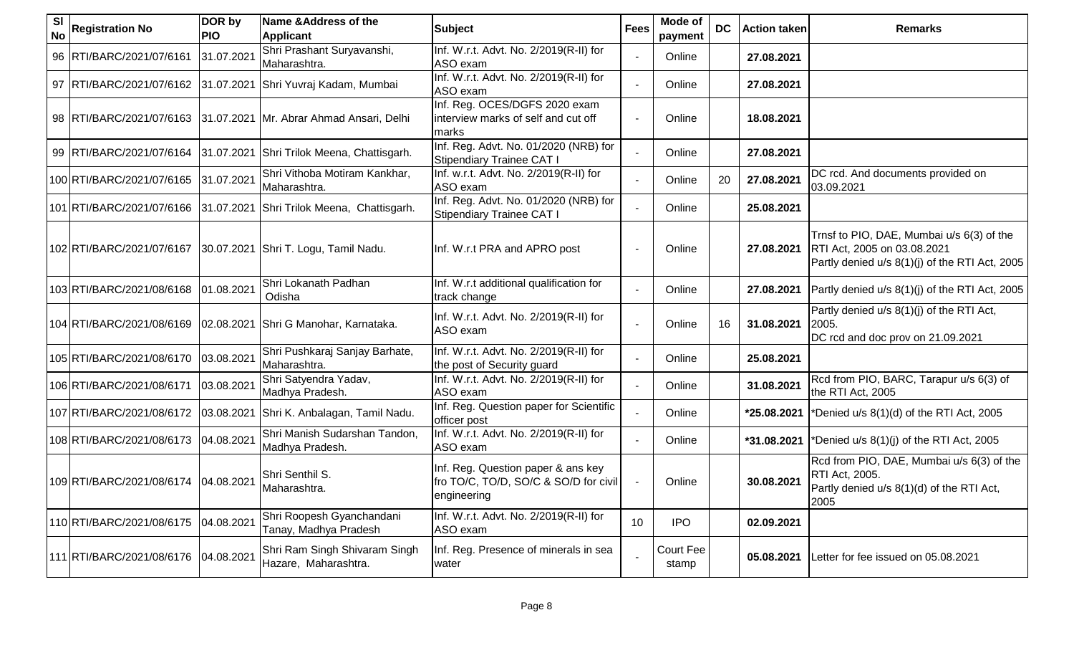| <b>SI</b><br><b>No</b> | <b>Registration No</b>               | DOR by<br><b>PIO</b> | Name & Address of the<br><b>Applicant</b>                     | <b>Subject</b>                                                                             | <b>Fees</b> | Mode of<br>payment | <b>DC</b> | <b>Action taken</b> | <b>Remarks</b>                                                                                                             |
|------------------------|--------------------------------------|----------------------|---------------------------------------------------------------|--------------------------------------------------------------------------------------------|-------------|--------------------|-----------|---------------------|----------------------------------------------------------------------------------------------------------------------------|
|                        | 96 RTI/BARC/2021/07/6161             | 31.07.2021           | Shri Prashant Suryavanshi,<br>Maharashtra.                    | Inf. W.r.t. Advt. No. 2/2019(R-II) for<br>ASO exam                                         |             | Online             |           | 27.08.2021          |                                                                                                                            |
|                        |                                      |                      | 97 RTI/BARC/2021/07/6162 31.07.2021 Shri Yuvraj Kadam, Mumbai | Inf. W.r.t. Advt. No. 2/2019(R-II) for<br>ASO exam                                         |             | Online             |           | 27.08.2021          |                                                                                                                            |
|                        | 98 RTI/BARC/2021/07/6163             |                      | 31.07.2021 Mr. Abrar Ahmad Ansari, Delhi                      | Inf. Reg. OCES/DGFS 2020 exam<br>interview marks of self and cut off<br>marks              |             | Online             |           | 18.08.2021          |                                                                                                                            |
|                        | 99 RTI/BARC/2021/07/6164             |                      | 31.07.2021 Shri Trilok Meena, Chattisgarh.                    | Inf. Reg. Advt. No. 01/2020 (NRB) for<br>Stipendiary Trainee CAT I                         |             | Online             |           | 27.08.2021          |                                                                                                                            |
|                        | 100 RTI/BARC/2021/07/6165            | 31.07.2021           | Shri Vithoba Motiram Kankhar,<br>Maharashtra.                 | Inf. w.r.t. Advt. No. 2/2019(R-II) for<br>ASO exam                                         |             | Online             | 20        | 27.08.2021          | DC rcd. And documents provided on<br>03.09.2021                                                                            |
|                        | 101 RTI/BARC/2021/07/6166            |                      | 31.07.2021 Shri Trilok Meena, Chattisgarh.                    | Inf. Reg. Advt. No. 01/2020 (NRB) for<br>Stipendiary Trainee CAT I                         |             | Online             |           | 25.08.2021          |                                                                                                                            |
|                        | 102 RTI/BARC/2021/07/6167            |                      | 30.07.2021 Shri T. Logu, Tamil Nadu.                          | Inf. W.r.t PRA and APRO post                                                               |             | Online             |           | 27.08.2021          | Trnsf to PIO, DAE, Mumbai u/s 6(3) of the<br>RTI Act, 2005 on 03.08.2021<br>Partly denied u/s 8(1)(j) of the RTI Act, 2005 |
|                        | 103 RTI/BARC/2021/08/6168            | 01.08.2021           | Shri Lokanath Padhan<br>Odisha                                | Inf. W.r.t additional qualification for<br>track change                                    |             | Online             |           | 27.08.2021          | Partly denied u/s 8(1)(j) of the RTI Act, 2005                                                                             |
|                        | 104 RTI/BARC/2021/08/6169            |                      | 02.08.2021 Shri G Manohar, Karnataka.                         | Inf. W.r.t. Advt. No. 2/2019(R-II) for<br>ASO exam                                         |             | Online             | 16        | 31.08.2021          | Partly denied u/s 8(1)(j) of the RTI Act,<br>2005.<br>DC rcd and doc prov on 21.09.2021                                    |
|                        | 105 RTI/BARC/2021/08/6170            | 03.08.2021           | Shri Pushkaraj Sanjay Barhate,<br>Maharashtra.                | Inf. W.r.t. Advt. No. 2/2019(R-II) for<br>the post of Security guard                       |             | Online             |           | 25.08.2021          |                                                                                                                            |
|                        | 106 RTI/BARC/2021/08/6171            | 03.08.2021           | Shri Satyendra Yadav,<br>Madhya Pradesh.                      | Inf. W.r.t. Advt. No. 2/2019(R-II) for<br>ASO exam                                         |             | Online             |           | 31.08.2021          | Rcd from PIO, BARC, Tarapur u/s 6(3) of<br>the RTI Act, 2005                                                               |
|                        | 107 RTI/BARC/2021/08/6172            | 03.08.2021           | Shri K. Anbalagan, Tamil Nadu.                                | Inf. Reg. Question paper for Scientific<br>officer post                                    |             | Online             |           | *25.08.2021         | *Denied u/s 8(1)(d) of the RTI Act, 2005                                                                                   |
|                        | 108 RTI/BARC/2021/08/6173            | 04.08.2021           | Shri Manish Sudarshan Tandon,<br>Madhya Pradesh.              | Inf. W.r.t. Advt. No. 2/2019(R-II) for<br>ASO exam                                         |             | Online             |           | *31.08.2021         | *Denied u/s 8(1)(j) of the RTI Act, 2005                                                                                   |
|                        | 109 RTI/BARC/2021/08/6174 04.08.2021 |                      | Shri Senthil S.<br>Maharashtra.                               | Inf. Reg. Question paper & ans key<br>fro TO/C, TO/D, SO/C & SO/D for civil<br>engineering |             | Online             |           | 30.08.2021          | Rcd from PIO, DAE, Mumbai u/s 6(3) of the<br>RTI Act, 2005.<br>Partly denied u/s 8(1)(d) of the RTI Act,<br>2005           |
|                        | 110 RTI/BARC/2021/08/6175            | 04.08.2021           | Shri Roopesh Gyanchandani<br>Tanay, Madhya Pradesh            | Inf. W.r.t. Advt. No. 2/2019(R-II) for<br>ASO exam                                         | 10          | <b>IPO</b>         |           | 02.09.2021          |                                                                                                                            |
|                        | 111 RTI/BARC/2021/08/6176            | 04.08.2021           | Shri Ram Singh Shivaram Singh<br>Hazare, Maharashtra.         | Inf. Reg. Presence of minerals in sea<br>water                                             |             | Court Fee<br>stamp |           | 05.08.2021          | Letter for fee issued on 05.08.2021                                                                                        |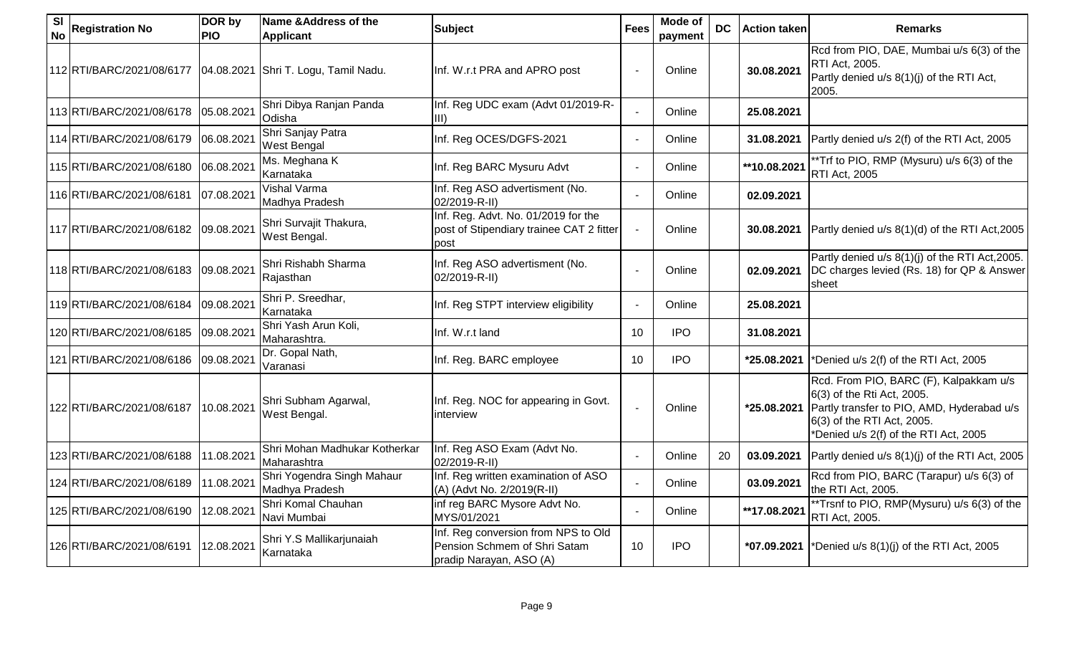| <b>SI</b><br><b>No</b> | <b>Registration No</b>    | DOR by<br><b>PIO</b> | Name & Address of the<br><b>Applicant</b>    | <b>Subject</b>                                                                                 | <b>Fees</b>     | <b>Mode of</b><br>payment | <b>DC</b> | <b>Action taken</b> | <b>Remarks</b>                                                                                                                                                                            |
|------------------------|---------------------------|----------------------|----------------------------------------------|------------------------------------------------------------------------------------------------|-----------------|---------------------------|-----------|---------------------|-------------------------------------------------------------------------------------------------------------------------------------------------------------------------------------------|
|                        | 112 RTI/BARC/2021/08/6177 |                      | 04.08.2021 Shri T. Logu, Tamil Nadu.         | Inf. W.r.t PRA and APRO post                                                                   |                 | Online                    |           | 30.08.2021          | Rcd from PIO, DAE, Mumbai u/s 6(3) of the<br>RTI Act, 2005.<br>Partly denied u/s 8(1)(j) of the RTI Act,<br>2005.                                                                         |
|                        | 113 RTI/BARC/2021/08/6178 | 05.08.2021           | Shri Dibya Ranjan Panda<br>Odisha            | Inf. Reg UDC exam (Advt 01/2019-R-<br>$\vert$ III)                                             |                 | Online                    |           | 25.08.2021          |                                                                                                                                                                                           |
|                        | 114 RTI/BARC/2021/08/6179 | 06.08.2021           | Shri Sanjay Patra<br>West Bengal             | Inf. Reg OCES/DGFS-2021                                                                        |                 | Online                    |           | 31.08.2021          | Partly denied u/s 2(f) of the RTI Act, 2005                                                                                                                                               |
|                        | 115 RTI/BARC/2021/08/6180 | 06.08.2021           | Ms. Meghana K<br>Karnataka                   | Inf. Reg BARC Mysuru Advt                                                                      |                 | Online                    |           | **10.08.2021        | **Trf to PIO, RMP (Mysuru) u/s 6(3) of the<br>RTI Act, 2005                                                                                                                               |
|                        | 116 RTI/BARC/2021/08/6181 | 07.08.2021           | <b>Vishal Varma</b><br>Madhya Pradesh        | Inf. Reg ASO advertisment (No.<br>02/2019-R-II)                                                |                 | Online                    |           | 02.09.2021          |                                                                                                                                                                                           |
|                        | 117 RTI/BARC/2021/08/6182 | 09.08.2021           | Shri Survajit Thakura,<br>West Bengal.       | Inf. Reg. Advt. No. 01/2019 for the<br>post of Stipendiary trainee CAT 2 fitter<br>post        |                 | Online                    |           | 30.08.2021          | Partly denied u/s 8(1)(d) of the RTI Act, 2005                                                                                                                                            |
|                        | 118 RTI/BARC/2021/08/6183 | 09.08.2021           | Shri Rishabh Sharma<br>Rajasthan             | Inf. Reg ASO advertisment (No.<br>02/2019-R-II)                                                |                 | Online                    |           | 02.09.2021          | Partly denied u/s 8(1)(j) of the RTI Act, 2005.<br>DC charges levied (Rs. 18) for QP & Answer<br>sheet                                                                                    |
|                        | 119 RTI/BARC/2021/08/6184 | 09.08.2021           | Shri P. Sreedhar,<br>Karnataka               | Inf. Reg STPT interview eligibility                                                            |                 | Online                    |           | 25.08.2021          |                                                                                                                                                                                           |
|                        | 120 RTI/BARC/2021/08/6185 | 09.08.2021           | Shri Yash Arun Koli,<br>Maharashtra.         | Inf. W.r.t land                                                                                | 10 <sup>°</sup> | <b>IPO</b>                |           | 31.08.2021          |                                                                                                                                                                                           |
|                        | 121 RTI/BARC/2021/08/6186 | 09.08.2021           | Dr. Gopal Nath,<br>Varanasi                  | Inf. Reg. BARC employee                                                                        | 10              | <b>IPO</b>                |           | *25.08.2021         | *Denied u/s 2(f) of the RTI Act, 2005                                                                                                                                                     |
|                        | 122 RTI/BARC/2021/08/6187 | 10.08.2021           | Shri Subham Agarwal,<br>West Bengal.         | Inf. Reg. NOC for appearing in Govt.<br>interview                                              |                 | Online                    |           | *25.08.2021         | Rcd. From PIO, BARC (F), Kalpakkam u/s<br>6(3) of the Rti Act, 2005.<br>Partly transfer to PIO, AMD, Hyderabad u/s<br>6(3) of the RTI Act, 2005.<br>*Denied u/s 2(f) of the RTI Act, 2005 |
|                        | 123 RTI/BARC/2021/08/6188 | 11.08.2021           | Shri Mohan Madhukar Kotherkar<br>Maharashtra | Inf. Reg ASO Exam (Advt No.<br>02/2019-R-II)                                                   |                 | Online                    | 20        | 03.09.2021          | Partly denied u/s 8(1)(j) of the RTI Act, 2005                                                                                                                                            |
|                        | 124 RTI/BARC/2021/08/6189 | 11.08.2021           | Shri Yogendra Singh Mahaur<br>Madhya Pradesh | Inf. Reg written examination of ASO<br>(A) (Advt No. 2/2019(R-II)                              |                 | Online                    |           | 03.09.2021          | Rcd from PIO, BARC (Tarapur) u/s 6(3) of<br>the RTI Act, 2005.                                                                                                                            |
|                        | 125 RTI/BARC/2021/08/6190 | 12.08.2021           | Shri Komal Chauhan<br>Navi Mumbai            | inf reg BARC Mysore Advt No.<br>MYS/01/2021                                                    |                 | Online                    |           | **17.08.2021        | **Trsnf to PIO, RMP(Mysuru) u/s 6(3) of the<br>RTI Act, 2005.                                                                                                                             |
|                        | 126 RTI/BARC/2021/08/6191 | 12.08.2021           | Shri Y.S Mallikarjunaiah<br>Karnataka        | Inf. Reg conversion from NPS to Old<br>Pension Schmem of Shri Satam<br>pradip Narayan, ASO (A) | 10              | <b>IPO</b>                |           |                     | *07.09.2021  *Denied u/s $8(1)(j)$ of the RTI Act, 2005                                                                                                                                   |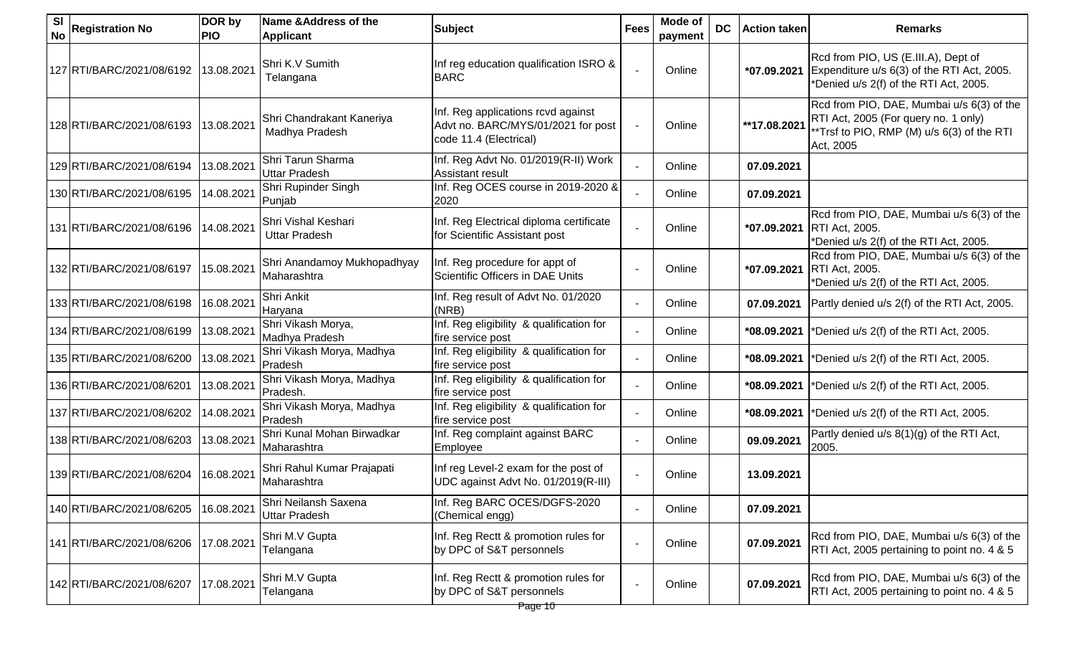| <b>SI</b><br><b>No</b> | <b>Registration No</b>    | DOR by<br><b>PIO</b> | Name & Address of the<br>Applicant           | <b>Subject</b>                                                                                     | <b>Fees</b> | Mode of<br>payment | <b>DC</b> | <b>Action taken</b> | <b>Remarks</b>                                                                                                                               |
|------------------------|---------------------------|----------------------|----------------------------------------------|----------------------------------------------------------------------------------------------------|-------------|--------------------|-----------|---------------------|----------------------------------------------------------------------------------------------------------------------------------------------|
|                        | 127 RTI/BARC/2021/08/6192 | 13.08.2021           | Shri K.V Sumith<br>Telangana                 | Inf reg education qualification ISRO &<br><b>BARC</b>                                              |             | Online             |           | *07.09.2021         | Rcd from PIO, US (E.III.A), Dept of<br>Expenditure u/s 6(3) of the RTI Act, 2005.<br>*Denied u/s 2(f) of the RTI Act, 2005.                  |
|                        | 128 RTI/BARC/2021/08/6193 | 13.08.2021           | Shri Chandrakant Kaneriya<br>Madhya Pradesh  | Inf. Reg applications rcvd against<br>Advt no. BARC/MYS/01/2021 for post<br>code 11.4 (Electrical) |             | Online             |           | **17.08.2021        | Rcd from PIO, DAE, Mumbai u/s 6(3) of the<br>RTI Act, 2005 (For query no. 1 only)<br>**Trsf to PIO, RMP (M) u/s 6(3) of the RTI<br>Act, 2005 |
|                        | 129 RTI/BARC/2021/08/6194 | 13.08.2021           | Shri Tarun Sharma<br>Uttar Pradesh           | Inf. Reg Advt No. 01/2019(R-II) Work<br>Assistant result                                           |             | Online             |           | 07.09.2021          |                                                                                                                                              |
|                        | 130 RTI/BARC/2021/08/6195 | 14.08.2021           | Shri Rupinder Singh<br>Punjab                | Inf. Reg OCES course in 2019-2020 &<br>2020                                                        |             | Online             |           | 07.09.2021          |                                                                                                                                              |
|                        | 131 RTI/BARC/2021/08/6196 | 14.08.2021           | Shri Vishal Keshari<br><b>Uttar Pradesh</b>  | Inf. Reg Electrical diploma certificate<br>for Scientific Assistant post                           |             | Online             |           | *07.09.2021         | Rcd from PIO, DAE, Mumbai u/s 6(3) of the<br>RTI Act, 2005.<br>*Denied u/s 2(f) of the RTI Act, 2005.                                        |
|                        | 132 RTI/BARC/2021/08/6197 | 15.08.2021           | Shri Anandamoy Mukhopadhyay<br>Maharashtra   | Inf. Reg procedure for appt of<br>Scientific Officers in DAE Units                                 |             | Online             |           | *07.09.2021         | Rcd from PIO, DAE, Mumbai u/s 6(3) of the<br><b>RTI Act, 2005.</b><br>*Denied u/s 2(f) of the RTI Act, 2005.                                 |
|                        | 133 RTI/BARC/2021/08/6198 | 16.08.2021           | Shri Ankit<br>Haryana                        | Inf. Reg result of Advt No. 01/2020<br>(NRB)                                                       |             | Online             |           | 07.09.2021          | Partly denied u/s 2(f) of the RTI Act, 2005.                                                                                                 |
|                        | 134 RTI/BARC/2021/08/6199 | 13.08.2021           | Shri Vikash Morya,<br>Madhya Pradesh         | Inf. Reg eligibility & qualification for<br>fire service post                                      |             | Online             |           | *08.09.2021         | *Denied u/s 2(f) of the RTI Act, 2005.                                                                                                       |
|                        | 135 RTI/BARC/2021/08/6200 | 13.08.2021           | Shri Vikash Morya, Madhya<br>Pradesh         | Inf. Reg eligibility & qualification for<br>fire service post                                      |             | Online             |           | *08.09.2021         | *Denied u/s 2(f) of the RTI Act, 2005.                                                                                                       |
|                        | 136 RTI/BARC/2021/08/6201 | 13.08.2021           | Shri Vikash Morya, Madhya<br>Pradesh.        | Inf. Reg eligibility & qualification for<br>fire service post                                      |             | Online             |           | *08.09.2021         | *Denied u/s 2(f) of the RTI Act, 2005.                                                                                                       |
|                        | 137 RTI/BARC/2021/08/6202 | 14.08.2021           | Shri Vikash Morya, Madhya<br>Pradesh         | Inf. Reg eligibility & qualification for<br>fire service post                                      |             | Online             |           | *08.09.2021         | *Denied u/s 2(f) of the RTI Act, 2005.                                                                                                       |
|                        | 138 RTI/BARC/2021/08/6203 | 13.08.2021           | Shri Kunal Mohan Birwadkar<br>Maharashtra    | Inf. Reg complaint against BARC<br>Employee                                                        |             | Online             |           | 09.09.2021          | Partly denied u/s 8(1)(g) of the RTI Act,<br>2005.                                                                                           |
|                        | 139 RTI/BARC/2021/08/6204 | 16.08.2021           | Shri Rahul Kumar Prajapati<br>Maharashtra    | Inf reg Level-2 exam for the post of<br>UDC against Advt No. 01/2019(R-III)                        |             | Online             |           | 13.09.2021          |                                                                                                                                              |
|                        | 140 RTI/BARC/2021/08/6205 | 16.08.2021           | Shri Neilansh Saxena<br><b>Uttar Pradesh</b> | Inf. Reg BARC OCES/DGFS-2020<br>(Chemical engg)                                                    |             | Online             |           | 07.09.2021          |                                                                                                                                              |
|                        | 141 RTI/BARC/2021/08/6206 | 17.08.2021           | Shri M.V Gupta<br>Telangana                  | Inf. Reg Rectt & promotion rules for<br>by DPC of S&T personnels                                   |             | Online             |           | 07.09.2021          | Rcd from PIO, DAE, Mumbai u/s 6(3) of the<br>RTI Act, 2005 pertaining to point no. 4 & 5                                                     |
|                        | 142 RTI/BARC/2021/08/6207 | 17.08.2021           | Shri M.V Gupta<br>Telangana                  | Inf. Reg Rectt & promotion rules for<br>by DPC of S&T personnels                                   |             | Online             |           | 07.09.2021          | Rcd from PIO, DAE, Mumbai u/s 6(3) of the<br>RTI Act, 2005 pertaining to point no. 4 & 5                                                     |
|                        |                           |                      |                                              | Page 10                                                                                            |             |                    |           |                     |                                                                                                                                              |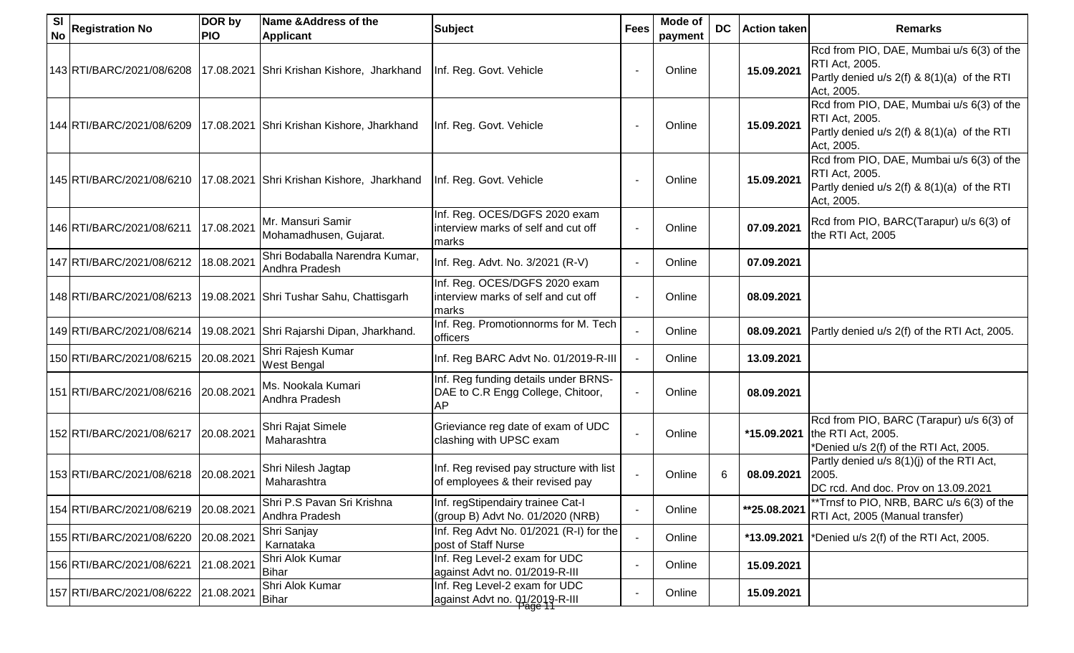| <b>SI</b><br><b>No</b> | <b>Registration No</b>    | DOR by<br><b>PIO</b> | <b>Name &amp; Address of the</b><br><b>Applicant</b> | <b>Subject</b>                                                                  | <b>Fees</b> | Mode of<br>payment | <b>DC</b> | <b>Action taken</b> | <b>Remarks</b>                                                                                                           |
|------------------------|---------------------------|----------------------|------------------------------------------------------|---------------------------------------------------------------------------------|-------------|--------------------|-----------|---------------------|--------------------------------------------------------------------------------------------------------------------------|
|                        | 143 RTI/BARC/2021/08/6208 |                      | 17.08.2021 Shri Krishan Kishore, Jharkhand           | Inf. Reg. Govt. Vehicle                                                         |             | Online             |           | 15.09.2021          | Rcd from PIO, DAE, Mumbai u/s 6(3) of the<br>RTI Act, 2005.<br>Partly denied u/s 2(f) & 8(1)(a) of the RTI<br>Act, 2005. |
|                        | 144 RTI/BARC/2021/08/6209 |                      | 17.08.2021 Shri Krishan Kishore, Jharkhand           | Inf. Reg. Govt. Vehicle                                                         |             | Online             |           | 15.09.2021          | Rcd from PIO, DAE, Mumbai u/s 6(3) of the<br>RTI Act, 2005.<br>Partly denied u/s 2(f) & 8(1)(a) of the RTI<br>Act, 2005. |
|                        | 145 RTI/BARC/2021/08/6210 |                      | 17.08.2021 Shri Krishan Kishore, Jharkhand           | Inf. Reg. Govt. Vehicle                                                         |             | Online             |           | 15.09.2021          | Rcd from PIO, DAE, Mumbai u/s 6(3) of the<br>RTI Act, 2005.<br>Partly denied u/s 2(f) & 8(1)(a) of the RTI<br>Act, 2005. |
|                        | 146 RTI/BARC/2021/08/6211 | 17.08.2021           | Mr. Mansuri Samir<br>Mohamadhusen, Gujarat.          | Inf. Reg. OCES/DGFS 2020 exam<br>interview marks of self and cut off<br>marks   |             | Online             |           | 07.09.2021          | Rcd from PIO, BARC(Tarapur) u/s 6(3) of<br>the RTI Act, 2005                                                             |
|                        | 147 RTI/BARC/2021/08/6212 | 18.08.2021           | Shri Bodaballa Narendra Kumar,<br>Andhra Pradesh     | Inf. Reg. Advt. No. 3/2021 (R-V)                                                |             | Online             |           | 07.09.2021          |                                                                                                                          |
|                        | 148 RTI/BARC/2021/08/6213 |                      | 19.08.2021 Shri Tushar Sahu, Chattisgarh             | Inf. Reg. OCES/DGFS 2020 exam<br>interview marks of self and cut off<br>marks   |             | Online             |           | 08.09.2021          |                                                                                                                          |
|                        | 149 RTI/BARC/2021/08/6214 | 19.08.2021           | Shri Rajarshi Dipan, Jharkhand.                      | Inf. Reg. Promotionnorms for M. Tech<br>officers                                |             | Online             |           | 08.09.2021          | Partly denied u/s 2(f) of the RTI Act, 2005.                                                                             |
|                        | 150 RTI/BARC/2021/08/6215 | 20.08.2021           | Shri Rajesh Kumar<br>West Bengal                     | Inf. Reg BARC Advt No. 01/2019-R-III                                            |             | Online             |           | 13.09.2021          |                                                                                                                          |
|                        | 151 RTI/BARC/2021/08/6216 | 20.08.2021           | Ms. Nookala Kumari<br>Andhra Pradesh                 | Inf. Reg funding details under BRNS-<br>DAE to C.R Engg College, Chitoor,<br>AP |             | Online             |           | 08.09.2021          |                                                                                                                          |
|                        | 152 RTI/BARC/2021/08/6217 | 20.08.2021           | Shri Rajat Simele<br>Maharashtra                     | Grieviance reg date of exam of UDC<br>clashing with UPSC exam                   |             | Online             |           | *15.09.2021         | Rcd from PIO, BARC (Tarapur) u/s 6(3) of<br>the RTI Act, 2005.<br>*Denied u/s 2(f) of the RTI Act, 2005.                 |
|                        | 153 RTI/BARC/2021/08/6218 | 20.08.2021           | Shri Nilesh Jagtap<br>Maharashtra                    | Inf. Reg revised pay structure with list<br>of employees & their revised pay    |             | Online             | 6         | 08.09.2021          | Partly denied u/s 8(1)(j) of the RTI Act,<br>2005.<br>DC rcd. And doc. Prov on 13.09.2021                                |
|                        | 154 RTI/BARC/2021/08/6219 | 20.08.2021           | Shri P.S Pavan Sri Krishna<br>Andhra Pradesh         | Inf. regStipendairy trainee Cat-I<br>(group B) Advt No. 01/2020 (NRB)           |             | Online             |           | **25.08.2021        | *Trnsf to PIO, NRB, BARC u/s 6(3) of the<br>RTI Act, 2005 (Manual transfer)                                              |
|                        | 155 RTI/BARC/2021/08/6220 | 20.08.2021           | Shri Sanjay<br>Karnataka                             | Inf. Reg Advt No. 01/2021 (R-I) for the<br>post of Staff Nurse                  |             | Online             |           | *13.09.2021         | *Denied u/s 2(f) of the RTI Act, 2005.                                                                                   |
|                        | 156 RTI/BARC/2021/08/6221 | 21.08.2021           | Shri Alok Kumar<br>Bihar                             | Inf. Reg Level-2 exam for UDC<br>against Advt no. 01/2019-R-III                 |             | Online             |           | 15.09.2021          |                                                                                                                          |
|                        | 157 RTI/BARC/2021/08/6222 | 21.08.2021           | Shri Alok Kumar<br>Bihar                             | Inf. Reg Level-2 exam for UDC<br>against Advt no. 01/2019-R-III                 |             | Online             |           | 15.09.2021          |                                                                                                                          |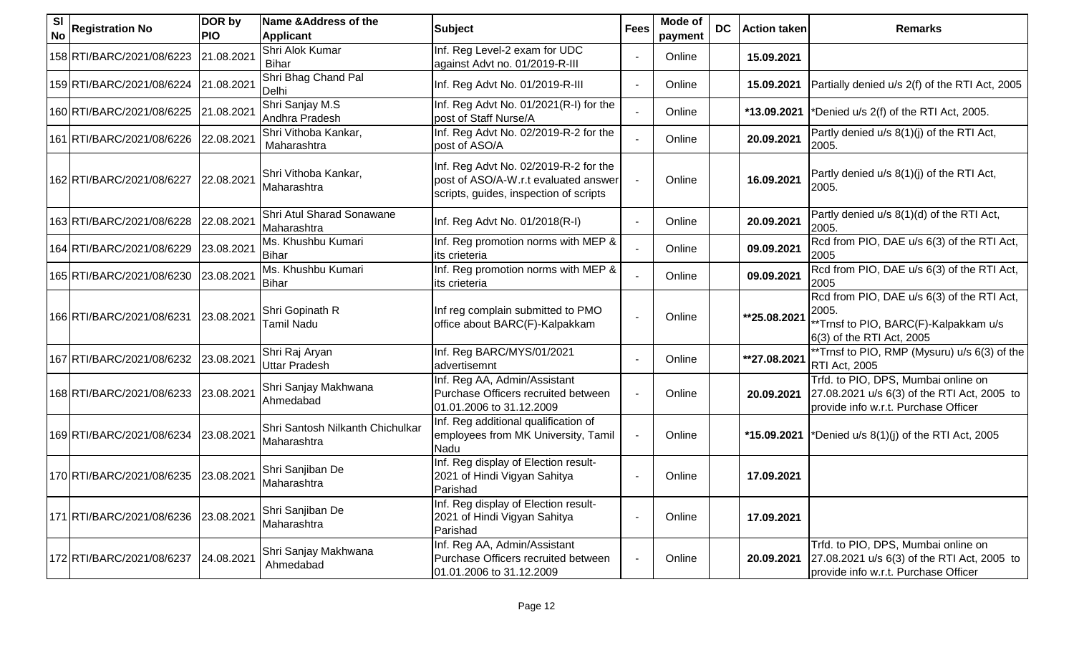| <b>SI</b><br><b>No</b> | <b>Registration No</b>    | DOR by<br><b>PIO</b> | Name & Address of the<br><b>Applicant</b>       | <b>Subject</b>                                                                                                          | <b>Fees</b> | <b>Mode of</b><br>payment | <b>DC</b> | <b>Action taken</b> | <b>Remarks</b>                                                                                                             |
|------------------------|---------------------------|----------------------|-------------------------------------------------|-------------------------------------------------------------------------------------------------------------------------|-------------|---------------------------|-----------|---------------------|----------------------------------------------------------------------------------------------------------------------------|
|                        | 158 RTI/BARC/2021/08/6223 | 21.08.2021           | Shri Alok Kumar<br><b>Bihar</b>                 | Inf. Reg Level-2 exam for UDC<br>against Advt no. 01/2019-R-III                                                         |             | Online                    |           | 15.09.2021          |                                                                                                                            |
|                        | 159 RTI/BARC/2021/08/6224 | 21.08.2021           | Shri Bhag Chand Pal<br>Delhi                    | Inf. Reg Advt No. 01/2019-R-III                                                                                         |             | Online                    |           | 15.09.2021          | Partially denied u/s 2(f) of the RTI Act, 2005                                                                             |
|                        | 160 RTI/BARC/2021/08/6225 | 21.08.2021           | Shri Sanjay M.S<br>Andhra Pradesh               | Inf. Reg Advt No. 01/2021(R-I) for the<br>post of Staff Nurse/A                                                         |             | Online                    |           | *13.09.2021         | *Denied u/s 2(f) of the RTI Act, 2005.                                                                                     |
|                        | 161 RTI/BARC/2021/08/6226 | 22.08.2021           | Shri Vithoba Kankar,<br>Maharashtra             | Inf. Reg Advt No. 02/2019-R-2 for the<br>post of ASO/A                                                                  |             | Online                    |           | 20.09.2021          | Partly denied u/s 8(1)(j) of the RTI Act,<br>2005.                                                                         |
|                        | 162 RTI/BARC/2021/08/6227 | 22.08.2021           | Shri Vithoba Kankar,<br>Maharashtra             | Inf. Reg Advt No. 02/2019-R-2 for the<br>post of ASO/A-W.r.t evaluated answer<br>scripts, guides, inspection of scripts |             | Online                    |           | 16.09.2021          | Partly denied u/s 8(1)(j) of the RTI Act,<br>2005.                                                                         |
|                        | 163 RTI/BARC/2021/08/6228 | 22.08.2021           | Shri Atul Sharad Sonawane<br>Maharashtra        | Inf. Reg Advt No. 01/2018(R-I)                                                                                          |             | Online                    |           | 20.09.2021          | Partly denied u/s 8(1)(d) of the RTI Act,<br>2005.                                                                         |
|                        | 164 RTI/BARC/2021/08/6229 | 23.08.2021           | Ms. Khushbu Kumari<br>Bihar                     | Inf. Reg promotion norms with MEP &<br>its crieteria                                                                    |             | Online                    |           | 09.09.2021          | Rcd from PIO, DAE u/s 6(3) of the RTI Act,<br>2005                                                                         |
|                        | 165 RTI/BARC/2021/08/6230 | 23.08.2021           | Ms. Khushbu Kumari<br>Bihar                     | Inf. Reg promotion norms with MEP &<br>its crieteria                                                                    |             | Online                    |           | 09.09.2021          | Rcd from PIO, DAE u/s 6(3) of the RTI Act,<br>2005                                                                         |
|                        | 166 RTI/BARC/2021/08/6231 | 23.08.2021           | Shri Gopinath R<br><b>Tamil Nadu</b>            | Inf reg complain submitted to PMO<br>office about BARC(F)-Kalpakkam                                                     |             | Online                    |           | **25.08.2021        | Rcd from PIO, DAE u/s 6(3) of the RTI Act,<br>2005.<br>**Trnsf to PIO, BARC(F)-Kalpakkam u/s<br>6(3) of the RTI Act, 2005  |
|                        | 167 RTI/BARC/2021/08/6232 | 23.08.2021           | Shri Raj Aryan<br><b>Uttar Pradesh</b>          | Inf. Reg BARC/MYS/01/2021<br>advertisemnt                                                                               |             | Online                    |           | **27.08.2021        | **Trnsf to PIO, RMP (Mysuru) u/s 6(3) of the<br><b>RTI Act, 2005</b>                                                       |
|                        | 168 RTI/BARC/2021/08/6233 | 23.08.2021           | Shri Sanjay Makhwana<br>Ahmedabad               | Inf. Reg AA, Admin/Assistant<br>Purchase Officers recruited between<br>01.01.2006 to 31.12.2009                         |             | Online                    |           | 20.09.2021          | Trfd. to PIO, DPS, Mumbai online on<br>27.08.2021 u/s 6(3) of the RTI Act, 2005 to<br>provide info w.r.t. Purchase Officer |
|                        | 169 RTI/BARC/2021/08/6234 | 23.08.2021           | Shri Santosh Nilkanth Chichulkar<br>Maharashtra | Inf. Reg additional qualification of<br>employees from MK University, Tamil<br>Nadu                                     |             | Online                    |           |                     | *15.09.2021  *Denied u/s $8(1)(j)$ of the RTI Act, 2005                                                                    |
|                        | 170 RTI/BARC/2021/08/6235 | 23.08.2021           | Shri Sanjiban De<br>Maharashtra                 | Inf. Reg display of Election result-<br>2021 of Hindi Vigyan Sahitya<br>Parishad                                        |             | Online                    |           | 17.09.2021          |                                                                                                                            |
|                        | 171 RTI/BARC/2021/08/6236 | 23.08.2021           | Shri Sanjiban De<br>Maharashtra                 | Inf. Reg display of Election result-<br>2021 of Hindi Vigyan Sahitya<br>Parishad                                        |             | Online                    |           | 17.09.2021          |                                                                                                                            |
|                        | 172 RTI/BARC/2021/08/6237 | 24.08.2021           | Shri Sanjay Makhwana<br>Ahmedabad               | Inf. Reg AA, Admin/Assistant<br>Purchase Officers recruited between<br>01.01.2006 to 31.12.2009                         |             | Online                    |           | 20.09.2021          | Trfd. to PIO, DPS, Mumbai online on<br>27.08.2021 u/s 6(3) of the RTI Act, 2005 to<br>provide info w.r.t. Purchase Officer |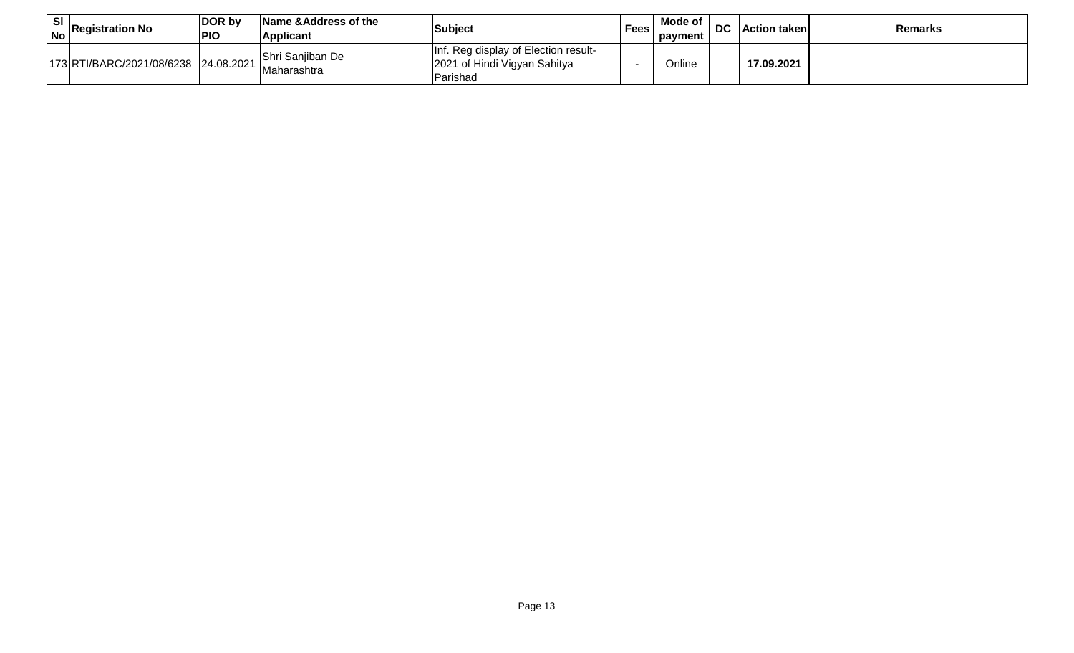| SI<br>No | <b>Registration No</b>               | DOR by<br><b>PIO</b> | Name & Address of the<br>Applicant | Subject                                                                                  | <b>Fees</b> | Mode of<br>payment | DC | l Action takenl | <b>Remarks</b> |
|----------|--------------------------------------|----------------------|------------------------------------|------------------------------------------------------------------------------------------|-------------|--------------------|----|-----------------|----------------|
|          | 173 RTI/BARC/2021/08/6238 24.08.2021 |                      | Shri Sanjiban De<br>Maharashtra    | Inf. Reg display of Election result-<br>2021 of Hindi Vigyan Sahitya<br><b>IParishad</b> |             | Online             |    | 17.09.2021      |                |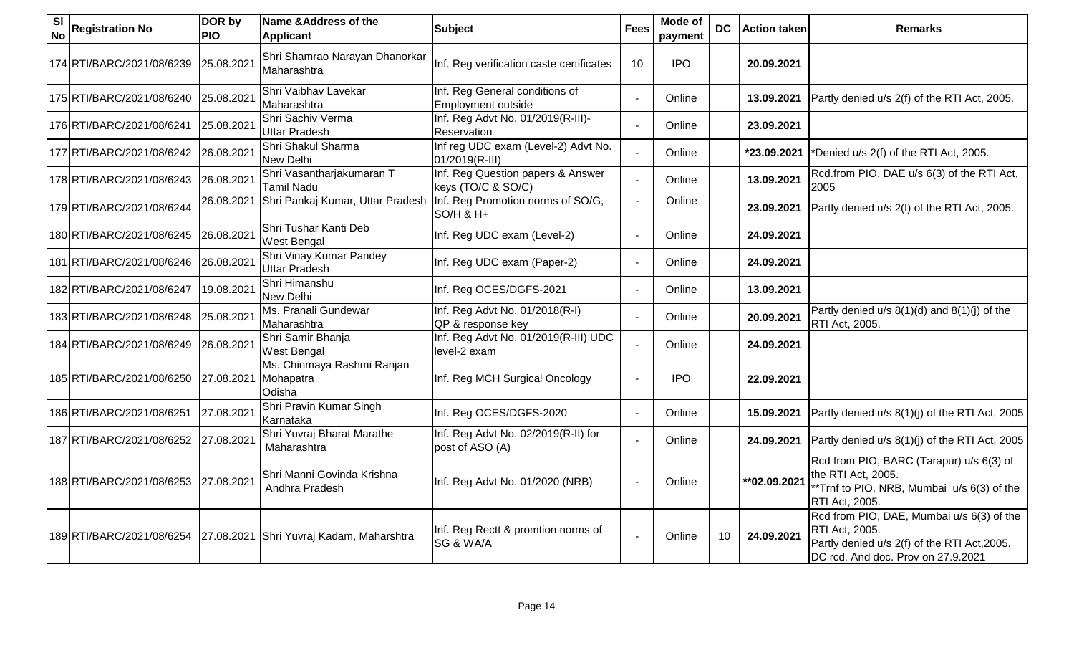| <b>SI</b><br><b>No</b> | <b>Registration No</b>               | DOR by<br><b>PIO</b> | Name & Address of the<br><b>Applicant</b>                          | <b>Subject</b>                                          | <b>Fees</b> | <b>Mode of</b><br>payment | <b>DC</b> | <b>Action taken</b> | <b>Remarks</b>                                                                                                                                    |
|------------------------|--------------------------------------|----------------------|--------------------------------------------------------------------|---------------------------------------------------------|-------------|---------------------------|-----------|---------------------|---------------------------------------------------------------------------------------------------------------------------------------------------|
|                        | 174 RTI/BARC/2021/08/6239            | 25.08.2021           | Shri Shamrao Narayan Dhanorkar<br>Maharashtra                      | Inf. Reg verification caste certificates                | 10          | <b>IPO</b>                |           | 20.09.2021          |                                                                                                                                                   |
|                        | 175 RTI/BARC/2021/08/6240            | 25.08.2021           | Shri Vaibhav Lavekar<br>Maharashtra                                | Inf. Reg General conditions of<br>Employment outside    |             | Online                    |           | 13.09.2021          | Partly denied u/s 2(f) of the RTI Act, 2005.                                                                                                      |
|                        | 176 RTI/BARC/2021/08/6241            | 25.08.2021           | Shri Sachiv Verma<br><b>Uttar Pradesh</b>                          | Inf. Reg Advt No. 01/2019(R-III)-<br>Reservation        |             | Online                    |           | 23.09.2021          |                                                                                                                                                   |
|                        | 177 RTI/BARC/2021/08/6242            | 26.08.2021           | Shri Shakul Sharma<br>New Delhi                                    | Inf reg UDC exam (Level-2) Advt No.<br>01/2019(R-III)   |             | Online                    |           | *23.09.2021         | *Denied u/s 2(f) of the RTI Act, 2005.                                                                                                            |
|                        | 178 RTI/BARC/2021/08/6243            | 26.08.2021           | Shri Vasantharjakumaran T<br>Tamil Nadu                            | Inf. Reg Question papers & Answer<br>keys (TO/C & SO/C) |             | Online                    |           | 13.09.2021          | Rcd.from PIO, DAE u/s 6(3) of the RTI Act,<br>2005                                                                                                |
|                        | 179 RTI/BARC/2021/08/6244            | 26.08.2021           | Shri Pankaj Kumar, Uttar Pradesh                                   | Inf. Reg Promotion norms of SO/G,<br>SO/H & H+          |             | Online                    |           | 23.09.2021          | Partly denied u/s 2(f) of the RTI Act, 2005.                                                                                                      |
|                        | 180 RTI/BARC/2021/08/6245            | 26.08.2021           | Shri Tushar Kanti Deb<br>West Bengal                               | Inf. Reg UDC exam (Level-2)                             |             | Online                    |           | 24.09.2021          |                                                                                                                                                   |
|                        | 181 RTI/BARC/2021/08/6246            | 26.08.2021           | Shri Vinay Kumar Pandey<br><b>Uttar Pradesh</b>                    | Inf. Reg UDC exam (Paper-2)                             |             | Online                    |           | 24.09.2021          |                                                                                                                                                   |
|                        | 182 RTI/BARC/2021/08/6247            | 19.08.2021           | Shri Himanshu<br><b>New Delhi</b>                                  | Inf. Reg OCES/DGFS-2021                                 |             | Online                    |           | 13.09.2021          |                                                                                                                                                   |
|                        | 183 RTI/BARC/2021/08/6248            | 25.08.2021           | Ms. Pranali Gundewar<br>Maharashtra                                | Inf. Reg Advt No. 01/2018(R-I)<br>QP & response key     |             | Online                    |           | 20.09.2021          | Partly denied $u/s$ 8(1)(d) and 8(1)(j) of the<br>RTI Act, 2005.                                                                                  |
|                        | 184 RTI/BARC/2021/08/6249            | 26.08.2021           | Shri Samir Bhanja<br><b>West Bengal</b>                            | Inf. Reg Advt No. 01/2019(R-III) UDC<br>level-2 exam    |             | Online                    |           | 24.09.2021          |                                                                                                                                                   |
|                        | 185 RTI/BARC/2021/08/6250            | 27.08.2021           | Ms. Chinmaya Rashmi Ranjan<br>Mohapatra<br>Odisha                  | Inf. Reg MCH Surgical Oncology                          |             | <b>IPO</b>                |           | 22.09.2021          |                                                                                                                                                   |
|                        | 186 RTI/BARC/2021/08/6251            | 27.08.2021           | Shri Pravin Kumar Singh<br>Karnataka                               | Inf. Reg OCES/DGFS-2020                                 |             | Online                    |           | 15.09.2021          | Partly denied u/s 8(1)(j) of the RTI Act, 2005                                                                                                    |
|                        | 187 RTI/BARC/2021/08/6252            | 27.08.2021           | Shri Yuvraj Bharat Marathe<br>Maharashtra                          | Inf. Reg Advt No. 02/2019(R-II) for<br>post of ASO (A)  |             | Online                    |           | 24.09.2021          | Partly denied u/s 8(1)(j) of the RTI Act, 2005                                                                                                    |
|                        | 188 RTI/BARC/2021/08/6253 27.08.2021 |                      | Shri Manni Govinda Krishna<br>Andhra Pradesh                       | Inf. Reg Advt No. 01/2020 (NRB)                         |             | Online                    |           | ** 02.09.2021       | Rcd from PIO, BARC (Tarapur) u/s 6(3) of<br>the RTI Act, 2005.<br>**Trnf to PIO, NRB, Mumbai u/s 6(3) of the<br>RTI Act, 2005.                    |
|                        |                                      |                      | 189 RTI/BARC/2021/08/6254 27.08.2021 Shri Yuvraj Kadam, Maharshtra | Inf. Reg Rectt & promtion norms of<br>SG & WA/A         |             | Online                    | 10        | 24.09.2021          | Rcd from PIO, DAE, Mumbai u/s 6(3) of the<br>RTI Act, 2005.<br>Partly denied u/s 2(f) of the RTI Act, 2005.<br>DC rcd. And doc. Prov on 27.9.2021 |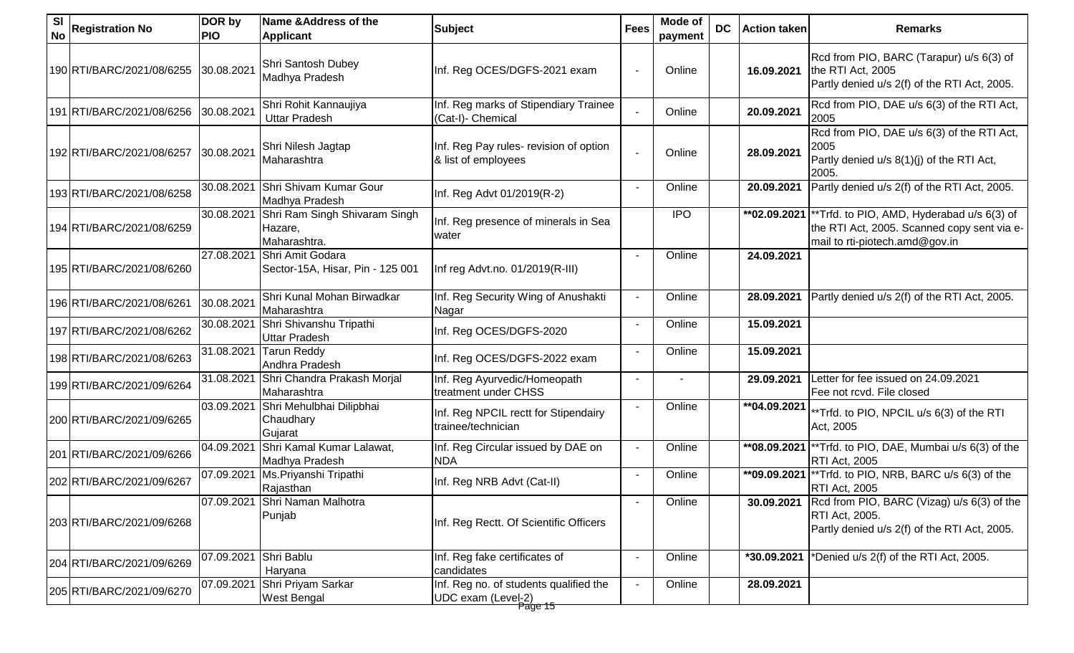| <b>SI</b><br><b>No</b> | <b>Registration No</b>    | DOR by<br><b>PIO</b>  | Name & Address of the<br><b>Applicant</b>                | <b>Subject</b>                                                          | <b>Fees</b> | Mode of<br>payment | <b>DC</b> | <b>Action taken</b> | <b>Remarks</b>                                                                                                                               |
|------------------------|---------------------------|-----------------------|----------------------------------------------------------|-------------------------------------------------------------------------|-------------|--------------------|-----------|---------------------|----------------------------------------------------------------------------------------------------------------------------------------------|
|                        | 190 RTI/BARC/2021/08/6255 | 30.08.2021            | Shri Santosh Dubey<br>Madhya Pradesh                     | Inf. Reg OCES/DGFS-2021 exam                                            |             | Online             |           | 16.09.2021          | Rcd from PIO, BARC (Tarapur) u/s 6(3) of<br>the RTI Act, 2005<br>Partly denied u/s 2(f) of the RTI Act, 2005.                                |
|                        | 191 RTI/BARC/2021/08/6256 | 30.08.2021            | Shri Rohit Kannaujiya<br><b>Uttar Pradesh</b>            | Inf. Reg marks of Stipendiary Trainee<br>(Cat-I)- Chemical              |             | Online             |           | 20.09.2021          | Rcd from PIO, DAE u/s 6(3) of the RTI Act,<br>2005                                                                                           |
|                        | 192 RTI/BARC/2021/08/6257 | 30.08.2021            | Shri Nilesh Jagtap<br>Maharashtra                        | Inf. Reg Pay rules- revision of option<br>& list of employees           |             | Online             |           | 28.09.2021          | Rcd from PIO, DAE u/s 6(3) of the RTI Act,<br>2005<br>Partly denied u/s 8(1)(j) of the RTI Act,<br>2005.                                     |
|                        | 193 RTI/BARC/2021/08/6258 | 30.08.2021            | Shri Shivam Kumar Gour<br>Madhya Pradesh                 | Inf. Reg Advt 01/2019(R-2)                                              |             | Online             |           | 20.09.2021          | Partly denied u/s 2(f) of the RTI Act, 2005.                                                                                                 |
|                        | 194 RTI/BARC/2021/08/6259 | 30.08.2021            | Shri Ram Singh Shivaram Singh<br>Hazare,<br>Maharashtra. | Inf. Reg presence of minerals in Sea<br>water                           |             | <b>IPO</b>         |           |                     | ** $02.09.2021$  **Trfd. to PIO, AMD, Hyderabad u/s 6(3) of<br>the RTI Act, 2005. Scanned copy sent via e-<br>mail to rti-piotech.amd@gov.in |
|                        | 195 RTI/BARC/2021/08/6260 | 27.08.2021            | Shri Amit Godara<br>Sector-15A, Hisar, Pin - 125 001     | Inf reg Advt.no. 01/2019(R-III)                                         |             | Online             |           | 24.09.2021          |                                                                                                                                              |
|                        | 196 RTI/BARC/2021/08/6261 | 30.08.2021            | Shri Kunal Mohan Birwadkar<br>Maharashtra                | Inf. Reg Security Wing of Anushakti<br>Nagar                            |             | Online             |           | 28.09.2021          | Partly denied u/s 2(f) of the RTI Act, 2005.                                                                                                 |
|                        | 197 RTI/BARC/2021/08/6262 | 30.08.2021            | Shri Shivanshu Tripathi<br><b>Uttar Pradesh</b>          | Inf. Reg OCES/DGFS-2020                                                 |             | Online             |           | 15.09.2021          |                                                                                                                                              |
|                        | 198 RTI/BARC/2021/08/6263 | 31.08.2021            | <b>Tarun Reddy</b><br>Andhra Pradesh                     | Inf. Reg OCES/DGFS-2022 exam                                            |             | Online             |           | 15.09.2021          |                                                                                                                                              |
|                        | 199 RTI/BARC/2021/09/6264 | 31.08.2021            | Shri Chandra Prakash Morjal<br>Maharashtra               | Inf. Reg Ayurvedic/Homeopath<br>treatment under CHSS                    |             |                    |           | 29.09.2021          | Letter for fee issued on 24.09.2021<br>Fee not rcvd. File closed                                                                             |
|                        | 200 RTI/BARC/2021/09/6265 | 03.09.2021            | Shri Mehulbhai Dilipbhai<br>Chaudhary<br>Gujarat         | Inf. Reg NPCIL rectt for Stipendairy<br>trainee/technician              |             | Online             |           | **04.09.2021        | **Trfd. to PIO, NPCIL u/s 6(3) of the RTI<br>Act, 2005                                                                                       |
|                        | 201 RTI/BARC/2021/09/6266 | 04.09.2021            | Shri Kamal Kumar Lalawat,<br>Madhya Pradesh              | Inf. Reg Circular issued by DAE on<br><b>NDA</b>                        |             | Online             |           | **08.09.2021        | ** Trfd. to PIO, DAE, Mumbai u/s 6(3) of the<br><b>RTI Act, 2005</b>                                                                         |
|                        | 202 RTI/BARC/2021/09/6267 | 07.09.2021            | Ms. Priyanshi Tripathi<br>Rajasthan                      | Inf. Reg NRB Advt (Cat-II)                                              |             | Online             |           | **09.09.2021        | ** Trfd. to PIO, NRB, BARC u/s 6(3) of the<br>RTI Act, 2005                                                                                  |
|                        | 203 RTI/BARC/2021/09/6268 |                       | 07.09.2021 Shri Naman Malhotra<br>Punjab                 | Inf. Reg Rectt. Of Scientific Officers                                  |             | Online             |           |                     | <b>30.09.2021</b> Rcd from PIO, BARC (Vizag) u/s 6(3) of the<br>RTI Act, 2005.<br>Partly denied u/s 2(f) of the RTI Act, 2005.               |
|                        | 204 RTI/BARC/2021/09/6269 | 07.09.2021 Shri Bablu | Haryana                                                  | Inf. Reg fake certificates of<br>candidates                             |             | Online             |           | *30.09.2021         | *Denied u/s 2(f) of the RTI Act, 2005.                                                                                                       |
|                        | 205 RTI/BARC/2021/09/6270 | 07.09.2021            | Shri Priyam Sarkar<br><b>West Bengal</b>                 | Inf. Reg no. of students qualified the<br>UDC exam (Level-2)<br>Page 15 |             | Online             |           | 28.09.2021          |                                                                                                                                              |
|                        |                           |                       |                                                          |                                                                         |             |                    |           |                     |                                                                                                                                              |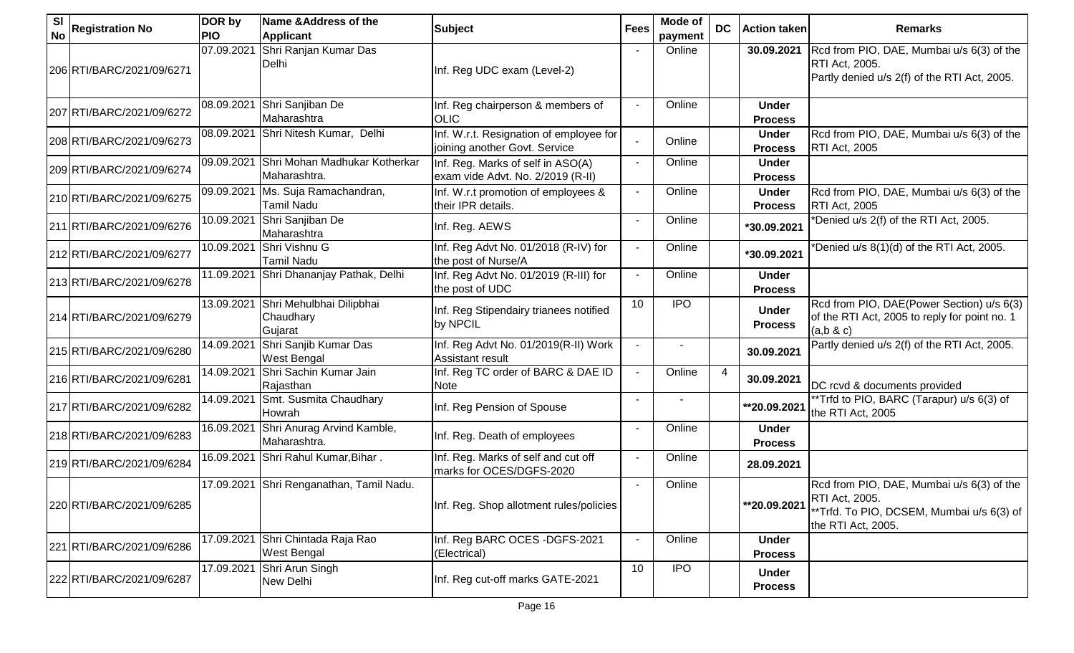| <b>SI</b><br><b>No</b> | <b>Registration No</b>    | DOR by<br><b>PIO</b> | Name & Address of the<br><b>Applicant</b>        | <b>Subject</b>                                                           | <b>Fees</b> | Mode of<br>payment | <b>DC</b> | <b>Action taken</b>            | <b>Remarks</b>                                                                                                                        |
|------------------------|---------------------------|----------------------|--------------------------------------------------|--------------------------------------------------------------------------|-------------|--------------------|-----------|--------------------------------|---------------------------------------------------------------------------------------------------------------------------------------|
|                        | 206 RTI/BARC/2021/09/6271 | 07.09.2021           | Shri Ranjan Kumar Das<br>Delhi                   | Inf. Reg UDC exam (Level-2)                                              |             | Online             |           | 30.09.2021                     | Rcd from PIO, DAE, Mumbai u/s 6(3) of the<br><b>RTI Act, 2005.</b><br>Partly denied u/s 2(f) of the RTI Act, 2005.                    |
|                        | 207 RTI/BARC/2021/09/6272 | 08.09.2021           | Shri Sanjiban De<br>Maharashtra                  | Inf. Reg chairperson & members of<br><b>OLIC</b>                         |             | Online             |           | <b>Under</b><br><b>Process</b> |                                                                                                                                       |
|                        | 208 RTI/BARC/2021/09/6273 | 08.09.2021           | Shri Nitesh Kumar, Delhi                         | Inf. W.r.t. Resignation of employee for<br>joining another Govt. Service |             | Online             |           | <b>Under</b><br><b>Process</b> | Rcd from PIO, DAE, Mumbai u/s 6(3) of the<br><b>RTI Act, 2005</b>                                                                     |
|                        | 209 RTI/BARC/2021/09/6274 | 09.09.2021           | Shri Mohan Madhukar Kotherkar<br>Maharashtra.    | Inf. Reg. Marks of self in ASO(A)<br>exam vide Advt. No. 2/2019 (R-II)   |             | Online             |           | <b>Under</b><br><b>Process</b> |                                                                                                                                       |
|                        | 210 RTI/BARC/2021/09/6275 | 09.09.2021           | Ms. Suja Ramachandran,<br><b>Tamil Nadu</b>      | Inf. W.r.t promotion of employees &<br>their IPR details.                |             | Online             |           | <b>Under</b><br><b>Process</b> | Rcd from PIO, DAE, Mumbai u/s 6(3) of the<br><b>RTI Act, 2005</b>                                                                     |
|                        | 211 RTI/BARC/2021/09/6276 | 10.09.2021           | Shri Sanjiban De<br>Maharashtra                  | Inf. Reg. AEWS                                                           |             | Online             |           | *30.09.2021                    | *Denied u/s 2(f) of the RTI Act, 2005.                                                                                                |
|                        | 212 RTI/BARC/2021/09/6277 | 10.09.2021           | Shri Vishnu G<br>Tamil Nadu                      | Inf. Reg Advt No. 01/2018 (R-IV) for<br>the post of Nurse/A              |             | Online             |           | *30.09.2021                    | *Denied u/s 8(1)(d) of the RTI Act, 2005.                                                                                             |
|                        | 213 RTI/BARC/2021/09/6278 | 11.09.2021           | Shri Dhananjay Pathak, Delhi                     | Inf. Reg Advt No. 01/2019 (R-III) for<br>the post of UDC                 |             | Online             |           | <b>Under</b><br><b>Process</b> |                                                                                                                                       |
|                        | 214 RTI/BARC/2021/09/6279 | 13.09.2021           | Shri Mehulbhai Dilipbhai<br>Chaudhary<br>Gujarat | Inf. Reg Stipendairy trianees notified<br>by NPCIL                       | 10          | <b>IPO</b>         |           | <b>Under</b><br><b>Process</b> | Rcd from PIO, DAE(Power Section) u/s 6(3)<br>of the RTI Act, 2005 to reply for point no. 1<br>(a,b & c)                               |
|                        | 215 RTI/BARC/2021/09/6280 | 14.09.2021           | Shri Sanjib Kumar Das<br><b>West Bengal</b>      | Inf. Reg Advt No. 01/2019(R-II) Work<br><b>Assistant result</b>          |             | $\blacksquare$     |           | 30.09.2021                     | Partly denied u/s 2(f) of the RTI Act, 2005.                                                                                          |
|                        | 216 RTI/BARC/2021/09/6281 | 14.09.2021           | Shri Sachin Kumar Jain<br>Rajasthan              | Inf. Reg TC order of BARC & DAE ID<br><b>Note</b>                        |             | Online             |           | 30.09.2021                     | DC rcvd & documents provided                                                                                                          |
|                        | 217 RTI/BARC/2021/09/6282 | 14.09.2021           | Smt. Susmita Chaudhary<br>Howrah                 | Inf. Reg Pension of Spouse                                               |             |                    |           | **20.09.2021                   | **Trfd to PIO, BARC (Tarapur) u/s 6(3) of<br>the RTI Act, 2005                                                                        |
|                        | 218 RTI/BARC/2021/09/6283 | 16.09.2021           | Shri Anurag Arvind Kamble,<br>Maharashtra.       | Inf. Reg. Death of employees                                             |             | Online             |           | <b>Under</b><br><b>Process</b> |                                                                                                                                       |
|                        | 219 RTI/BARC/2021/09/6284 | 16.09.2021           | Shri Rahul Kumar, Bihar.                         | Inf. Reg. Marks of self and cut off<br>marks for OCES/DGFS-2020          |             | Online             |           | 28.09.2021                     |                                                                                                                                       |
|                        | 220 RTI/BARC/2021/09/6285 |                      | 17.09.2021 Shri Renganathan, Tamil Nadu.         | Inf. Reg. Shop allotment rules/policies                                  |             | Online             |           | **20.09.2021                   | Rcd from PIO, DAE, Mumbai u/s 6(3) of the<br><b>RTI Act, 2005.</b><br>**Trfd. To PIO, DCSEM, Mumbai u/s 6(3) of<br>the RTI Act, 2005. |
|                        | 221 RTI/BARC/2021/09/6286 | 17.09.2021           | Shri Chintada Raja Rao<br><b>West Bengal</b>     | Inf. Reg BARC OCES - DGFS-2021<br>(Electrical)                           |             | Online             |           | <b>Under</b><br><b>Process</b> |                                                                                                                                       |
|                        | 222 RTI/BARC/2021/09/6287 | 17.09.2021           | Shri Arun Singh<br>New Delhi                     | Inf. Reg cut-off marks GATE-2021                                         | 10          | <b>IPO</b>         |           | <b>Under</b><br><b>Process</b> |                                                                                                                                       |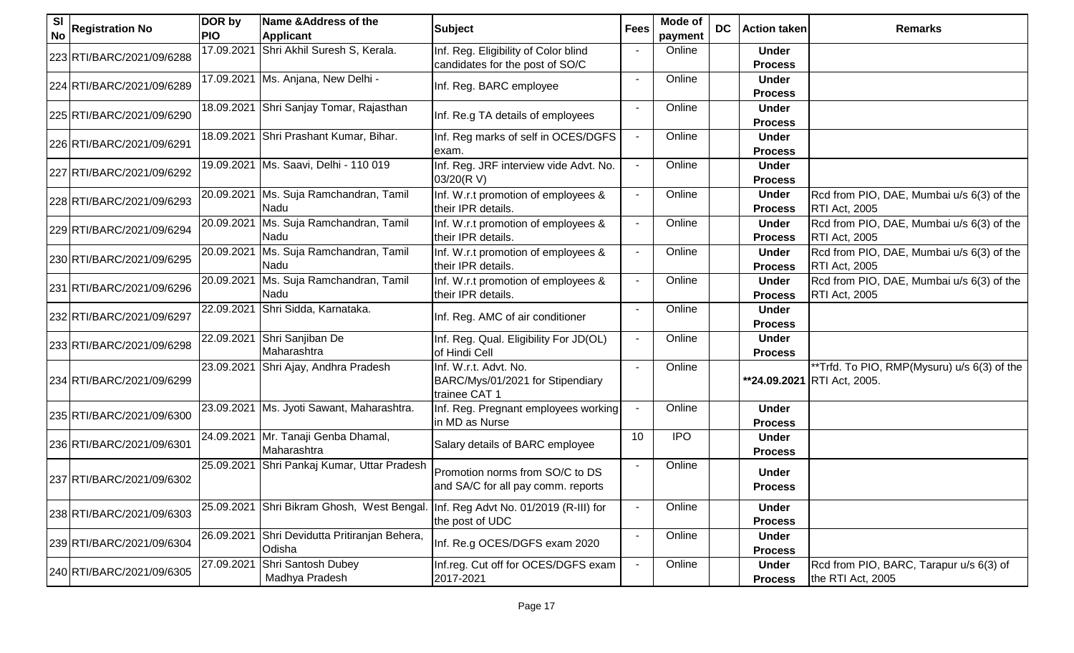| <b>SI</b><br><b>No</b> | <b>Registration No</b>    | DOR by<br><b>PIO</b> | Name & Address of the<br><b>Applicant</b>    | <b>Subject</b>                                                             | <b>Fees</b> | Mode of<br>payment | <b>DC</b> | <b>Action taken</b>            | <b>Remarks</b>                                                             |
|------------------------|---------------------------|----------------------|----------------------------------------------|----------------------------------------------------------------------------|-------------|--------------------|-----------|--------------------------------|----------------------------------------------------------------------------|
|                        | 223 RTI/BARC/2021/09/6288 | 17.09.2021           | Shri Akhil Suresh S, Kerala.                 | Inf. Reg. Eligibility of Color blind<br>candidates for the post of SO/C    |             | Online             |           | <b>Under</b><br><b>Process</b> |                                                                            |
|                        | 224 RTI/BARC/2021/09/6289 |                      | 17.09.2021   Ms. Anjana, New Delhi -         | Inf. Reg. BARC employee                                                    |             | Online             |           | <b>Under</b><br><b>Process</b> |                                                                            |
|                        | 225 RTI/BARC/2021/09/6290 | 18.09.2021           | Shri Sanjay Tomar, Rajasthan                 | Inf. Re.g TA details of employees                                          |             | Online             |           | <b>Under</b><br><b>Process</b> |                                                                            |
|                        | 226 RTI/BARC/2021/09/6291 | 18.09.2021           | Shri Prashant Kumar, Bihar.                  | Inf. Reg marks of self in OCES/DGFS<br>exam.                               |             | Online             |           | <b>Under</b><br><b>Process</b> |                                                                            |
|                        | 227 RTI/BARC/2021/09/6292 |                      | 19.09.2021 Ms. Saavi, Delhi - 110 019        | Inf. Reg. JRF interview vide Advt. No.<br>03/20(R V)                       |             | Online             |           | <b>Under</b><br><b>Process</b> |                                                                            |
|                        | 228 RTI/BARC/2021/09/6293 | 20.09.2021           | Ms. Suja Ramchandran, Tamil<br>Nadu          | Inf. W.r.t promotion of employees &<br>their IPR details.                  |             | Online             |           | <b>Under</b><br><b>Process</b> | Rcd from PIO, DAE, Mumbai u/s 6(3) of the<br><b>RTI Act, 2005</b>          |
|                        | 229 RTI/BARC/2021/09/6294 | 20.09.2021           | Ms. Suja Ramchandran, Tamil<br>Nadu          | Inf. W.r.t promotion of employees &<br>their IPR details.                  |             | Online             |           | <b>Under</b><br><b>Process</b> | Rcd from PIO, DAE, Mumbai u/s 6(3) of the<br><b>RTI Act, 2005</b>          |
|                        | 230 RTI/BARC/2021/09/6295 | 20.09.2021           | Ms. Suja Ramchandran, Tamil<br>Nadu          | Inf. W.r.t promotion of employees &<br>their IPR details.                  |             | Online             |           | <b>Under</b><br><b>Process</b> | Rcd from PIO, DAE, Mumbai u/s 6(3) of the<br><b>RTI Act, 2005</b>          |
|                        | 231 RTI/BARC/2021/09/6296 | 20.09.2021           | Ms. Suja Ramchandran, Tamil<br>Nadu          | Inf. W.r.t promotion of employees &<br>their IPR details.                  |             | Online             |           | <b>Under</b><br><b>Process</b> | Rcd from PIO, DAE, Mumbai u/s 6(3) of the<br><b>RTI Act, 2005</b>          |
|                        | 232 RTI/BARC/2021/09/6297 | 22.09.2021           | Shri Sidda, Karnataka.                       | Inf. Reg. AMC of air conditioner                                           |             | Online             |           | <b>Under</b><br><b>Process</b> |                                                                            |
|                        | 233 RTI/BARC/2021/09/6298 | 22.09.2021           | Shri Sanjiban De<br>Maharashtra              | Inf. Reg. Qual. Eligibility For JD(OL)<br>of Hindi Cell                    |             | Online             |           | <b>Under</b><br><b>Process</b> |                                                                            |
|                        | 234 RTI/BARC/2021/09/6299 | 23.09.2021           | Shri Ajay, Andhra Pradesh                    | Inf. W.r.t. Advt. No.<br>BARC/Mys/01/2021 for Stipendiary<br>trainee CAT 1 |             | Online             |           |                                | **Trfd. To PIO, RMP(Mysuru) u/s 6(3) of the<br>**24.09.2021 RTI Act, 2005. |
|                        | 235 RTI/BARC/2021/09/6300 |                      | 23.09.2021 Ms. Jyoti Sawant, Maharashtra.    | Inf. Reg. Pregnant employees working<br>in MD as Nurse                     |             | Online             |           | <b>Under</b><br><b>Process</b> |                                                                            |
|                        | 236 RTI/BARC/2021/09/6301 | 24.09.2021           | Mr. Tanaji Genba Dhamal,<br>Maharashtra      | Salary details of BARC employee                                            | 10          | <b>IPO</b>         |           | <b>Under</b><br><b>Process</b> |                                                                            |
|                        | 237 RTI/BARC/2021/09/6302 | 25.09.2021           | Shri Pankaj Kumar, Uttar Pradesh             | Promotion norms from SO/C to DS<br>and SA/C for all pay comm. reports      |             | Online             |           | <b>Under</b><br><b>Process</b> |                                                                            |
|                        | 238 RTI/BARC/2021/09/6303 | 25.09.2021           | Shri Bikram Ghosh, West Bengal.              | Inf. Reg Advt No. 01/2019 (R-III) for<br>the post of UDC                   |             | Online             |           | <b>Under</b><br><b>Process</b> |                                                                            |
|                        | 239 RTI/BARC/2021/09/6304 | 26.09.2021           | Shri Devidutta Pritiranjan Behera,<br>Odisha | Inf. Re.g OCES/DGFS exam 2020                                              |             | Online             |           | <b>Under</b><br><b>Process</b> |                                                                            |
|                        | 240 RTI/BARC/2021/09/6305 | 27.09.2021           | Shri Santosh Dubey<br>Madhya Pradesh         | Inf.reg. Cut off for OCES/DGFS exam<br>2017-2021                           |             | Online             |           | <b>Under</b><br><b>Process</b> | Rcd from PIO, BARC, Tarapur u/s 6(3) of<br>the RTI Act, 2005               |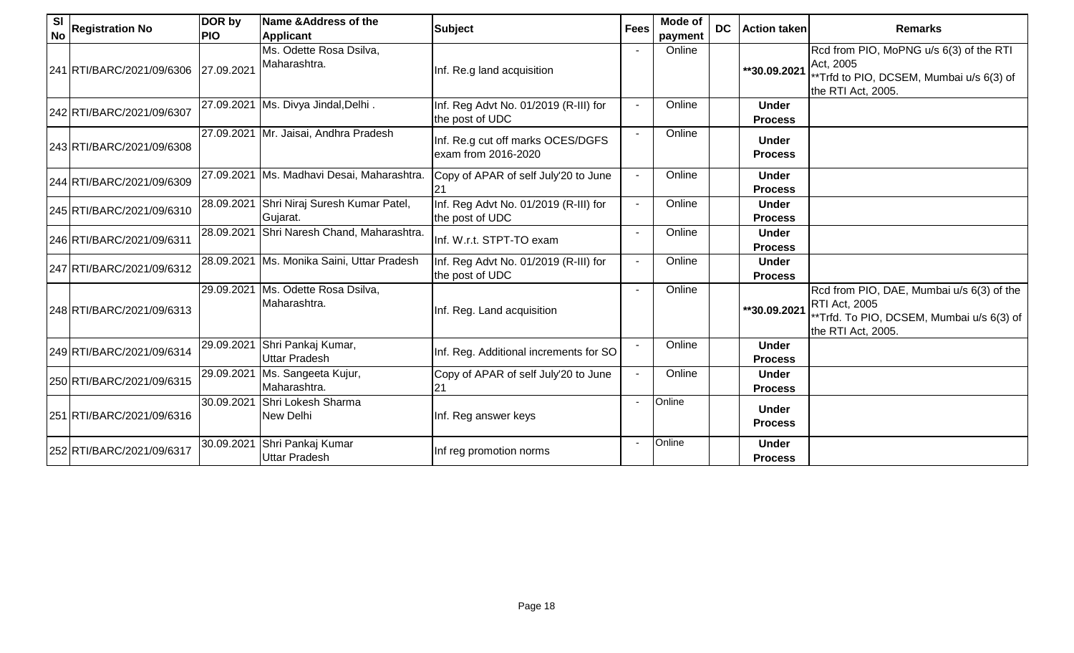| SI<br><b>No</b> | <b>Registration No</b>    | DOR by<br><b>PIO</b> | Name & Address of the<br><b>Applicant</b>    | <b>Subject</b>                                           | <b>Fees</b> | Mode of<br>payment | <b>DC</b> | <b>Action taken</b>            | <b>Remarks</b>                                                                                                                |
|-----------------|---------------------------|----------------------|----------------------------------------------|----------------------------------------------------------|-------------|--------------------|-----------|--------------------------------|-------------------------------------------------------------------------------------------------------------------------------|
|                 | 241 RTI/BARC/2021/09/6306 | 27.09.2021           | Ms. Odette Rosa Dsilva,<br>Maharashtra.      | Inf. Re.g land acquisition                               |             | Online             |           | **30.09.2021                   | Rcd from PIO, MoPNG u/s 6(3) of the RTI<br>Act, 2005<br>**Trfd to PIO, DCSEM, Mumbai u/s 6(3) of<br>the RTI Act, 2005.        |
|                 | 242 RTI/BARC/2021/09/6307 | 27.09.2021           | Ms. Divya Jindal, Delhi.                     | Inf. Reg Advt No. 01/2019 (R-III) for<br>the post of UDC |             | Online             |           | <b>Under</b><br><b>Process</b> |                                                                                                                               |
|                 | 243 RTI/BARC/2021/09/6308 |                      | 27.09.2021 Mr. Jaisai, Andhra Pradesh        | Inf. Re.g cut off marks OCES/DGFS<br>exam from 2016-2020 |             | Online             |           | <b>Under</b><br><b>Process</b> |                                                                                                                               |
|                 | 244 RTI/BARC/2021/09/6309 | 27.09.2021           | Ms. Madhavi Desai, Maharashtra.              | Copy of APAR of self July'20 to June                     |             | Online             |           | <b>Under</b><br><b>Process</b> |                                                                                                                               |
|                 | 245 RTI/BARC/2021/09/6310 | 28.09.2021           | Shri Niraj Suresh Kumar Patel,<br>Gujarat.   | Inf. Reg Advt No. 01/2019 (R-III) for<br>the post of UDC |             | Online             |           | <b>Under</b><br><b>Process</b> |                                                                                                                               |
|                 | 246 RTI/BARC/2021/09/6311 | 28.09.2021           | Shri Naresh Chand, Maharashtra.              | Inf. W.r.t. STPT-TO exam                                 |             | Online             |           | <b>Under</b><br><b>Process</b> |                                                                                                                               |
|                 | 247 RTI/BARC/2021/09/6312 |                      | 28.09.2021   Ms. Monika Saini, Uttar Pradesh | Inf. Reg Advt No. 01/2019 (R-III) for<br>the post of UDC |             | Online             |           | <b>Under</b><br><b>Process</b> |                                                                                                                               |
|                 | 248 RTI/BARC/2021/09/6313 | 29.09.2021           | Ms. Odette Rosa Dsilva,<br>Maharashtra.      | Inf. Reg. Land acquisition                               |             | Online             |           | **30.09.2021                   | Rcd from PIO, DAE, Mumbai u/s 6(3) of the<br>RTI Act, 2005<br>**Trfd. To PIO, DCSEM, Mumbai u/s 6(3) of<br>the RTI Act, 2005. |
|                 | 249 RTI/BARC/2021/09/6314 | 29.09.2021           | Shri Pankaj Kumar,<br>Uttar Pradesh          | Inf. Reg. Additional increments for SO                   |             | Online             |           | <b>Under</b><br><b>Process</b> |                                                                                                                               |
|                 | 250 RTI/BARC/2021/09/6315 | 29.09.2021           | Ms. Sangeeta Kujur,<br>Maharashtra.          | Copy of APAR of self July'20 to June<br>21               |             | Online             |           | <b>Under</b><br><b>Process</b> |                                                                                                                               |
|                 | 251 RTI/BARC/2021/09/6316 | 30.09.2021           | Shri Lokesh Sharma<br>New Delhi              | Inf. Reg answer keys                                     |             | Online             |           | <b>Under</b><br><b>Process</b> |                                                                                                                               |
|                 | 252 RTI/BARC/2021/09/6317 | 30.09.2021           | Shri Pankaj Kumar<br>Uttar Pradesh           | Inf reg promotion norms                                  |             | Online             |           | <b>Under</b><br><b>Process</b> |                                                                                                                               |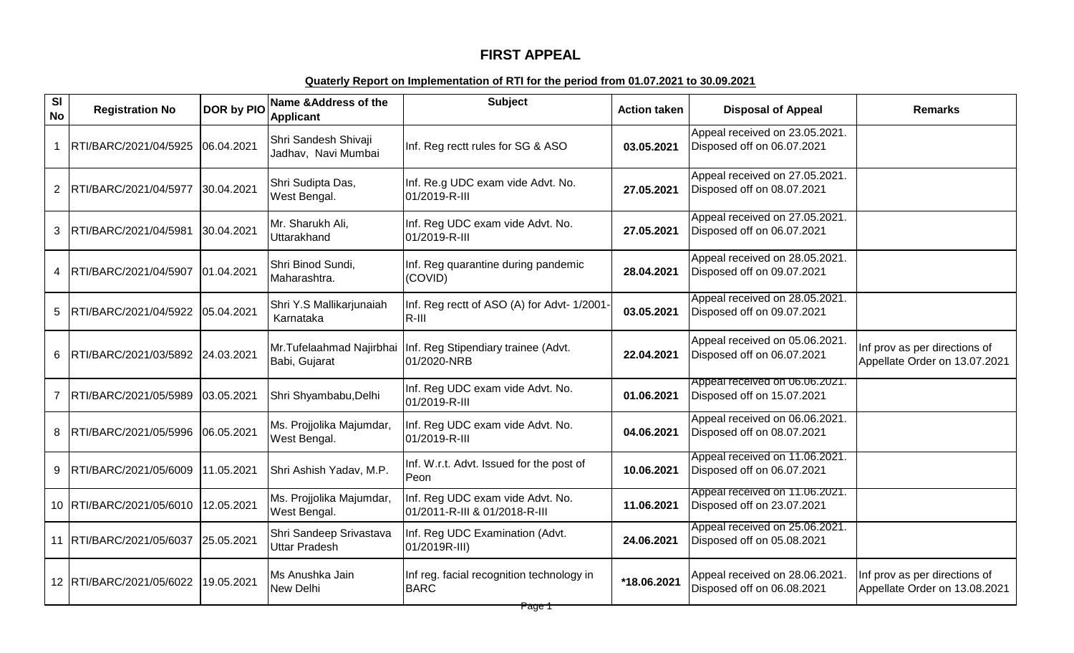## **FIRST APPEAL**

## **Quaterly Report on Implementation of RTI for the period from 01.07.2021 to 30.09.2021**

| SI<br><b>No</b> | <b>Registration No</b>           | <b>DOR by PIO</b> | Name & Address of the<br><b>Applicant</b>       | <b>Subject</b>                                                    | <b>Action taken</b> | <b>Disposal of Appeal</b>                                    | <b>Remarks</b>                                                 |
|-----------------|----------------------------------|-------------------|-------------------------------------------------|-------------------------------------------------------------------|---------------------|--------------------------------------------------------------|----------------------------------------------------------------|
|                 | RTI/BARC/2021/04/5925            | 06.04.2021        | Shri Sandesh Shivaji<br>Jadhav, Navi Mumbai     | Inf. Reg rectt rules for SG & ASO                                 | 03.05.2021          | Appeal received on 23.05.2021.<br>Disposed off on 06.07.2021 |                                                                |
| $\overline{2}$  | RTI/BARC/2021/04/5977            | 30.04.2021        | Shri Sudipta Das,<br>West Bengal.               | Inf. Re.g UDC exam vide Advt. No.<br>01/2019-R-III                | 27.05.2021          | Appeal received on 27.05.2021.<br>Disposed off on 08.07.2021 |                                                                |
| 3               | RTI/BARC/2021/04/5981            | 30.04.2021        | Mr. Sharukh Ali,<br>Uttarakhand                 | Inf. Reg UDC exam vide Advt. No.<br>01/2019-R-III                 | 27.05.2021          | Appeal received on 27.05.2021.<br>Disposed off on 06.07.2021 |                                                                |
| 4               | RTI/BARC/2021/04/5907            | 01.04.2021        | Shri Binod Sundi,<br>Maharashtra.               | Inf. Reg quarantine during pandemic<br>(COVID)                    | 28.04.2021          | Appeal received on 28.05.2021.<br>Disposed off on 09.07.2021 |                                                                |
| 5               | RTI/BARC/2021/04/5922            | 05.04.2021        | Shri Y.S Mallikarjunaiah<br>Karnataka           | Inf. Reg rectt of ASO (A) for Advt- 1/2001-<br>$R$ -III           | 03.05.2021          | Appeal received on 28.05.2021.<br>Disposed off on 09.07.2021 |                                                                |
| 6               | RTI/BARC/2021/03/5892 24.03.2021 |                   | Mr.Tufelaahmad Najirbhai<br>Babi, Gujarat       | Inf. Reg Stipendiary trainee (Advt.<br>01/2020-NRB                | 22.04.2021          | Appeal received on 05.06.2021.<br>Disposed off on 06.07.2021 | Inf prov as per directions of<br>Appellate Order on 13.07.2021 |
| 7               | RTI/BARC/2021/05/5989            | 03.05.2021        | Shri Shyambabu, Delhi                           | Inf. Reg UDC exam vide Advt. No.<br>01/2019-R-III                 | 01.06.2021          | Appeal received on 06.06.2021.<br>Disposed off on 15.07.2021 |                                                                |
| 8               | RTI/BARC/2021/05/5996            | 06.05.2021        | Ms. Projjolika Majumdar,<br>West Bengal.        | Inf. Reg UDC exam vide Advt. No.<br>01/2019-R-III                 | 04.06.2021          | Appeal received on 06.06.2021.<br>Disposed off on 08.07.2021 |                                                                |
| 9               | RTI/BARC/2021/05/6009            | 11.05.2021        | Shri Ashish Yadav, M.P.                         | Inf. W.r.t. Advt. Issued for the post of<br>Peon                  | 10.06.2021          | Appeal received on 11.06.2021.<br>Disposed off on 06.07.2021 |                                                                |
|                 | 10 RTI/BARC/2021/05/6010         | 12.05.2021        | Ms. Projjolika Majumdar,<br>West Bengal.        | Inf. Reg UDC exam vide Advt. No.<br>01/2011-R-III & 01/2018-R-III | 11.06.2021          | Appeal received on 11.06.2021.<br>Disposed off on 23.07.2021 |                                                                |
|                 | 11 RTI/BARC/2021/05/6037         | 25.05.2021        | Shri Sandeep Srivastava<br><b>Uttar Pradesh</b> | Inf. Reg UDC Examination (Advt.<br>01/2019R-III)                  | 24.06.2021          | Appeal received on 25.06.2021.<br>Disposed off on 05.08.2021 |                                                                |
|                 | 12   RTI/BARC/2021/05/6022       | 19.05.2021        | Ms Anushka Jain<br>New Delhi                    | Inf reg. facial recognition technology in<br><b>BARC</b>          | *18.06.2021         | Appeal received on 28.06.2021.<br>Disposed off on 06.08.2021 | Inf prov as per directions of<br>Appellate Order on 13.08.2021 |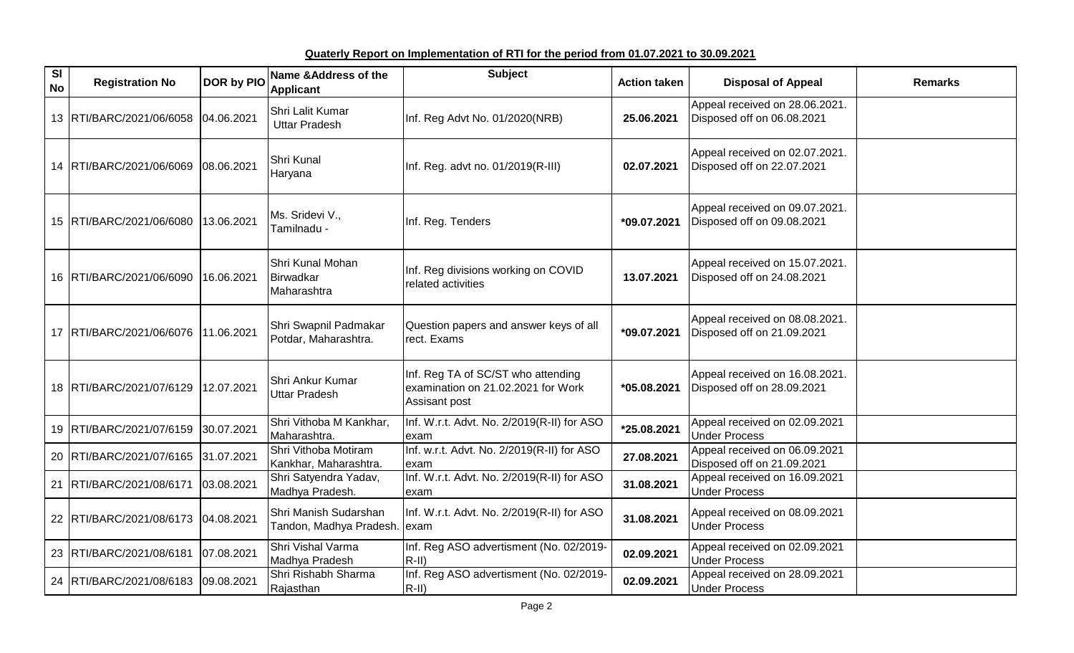**Quaterly Report on Implementation of RTI for the period from 01.07.2021 to 30.09.2021**

| SI<br><b>No</b> | <b>Registration No</b>              | <b>DOR by PIO</b> | Name & Address of the<br><b>Applicant</b>             | <b>Subject</b>                                                                                   | <b>Action taken</b> | <b>Disposal of Appeal</b>                                    | <b>Remarks</b> |
|-----------------|-------------------------------------|-------------------|-------------------------------------------------------|--------------------------------------------------------------------------------------------------|---------------------|--------------------------------------------------------------|----------------|
|                 | 13 RTI/BARC/2021/06/6058 04.06.2021 |                   | Shri Lalit Kumar<br><b>Uttar Pradesh</b>              | Inf. Reg Advt No. 01/2020(NRB)                                                                   | 25.06.2021          | Appeal received on 28.06.2021.<br>Disposed off on 06.08.2021 |                |
|                 | 14 RTI/BARC/2021/06/6069 08.06.2021 |                   | Shri Kunal<br>Haryana                                 | Inf. Reg. advt no. 01/2019(R-III)                                                                | 02.07.2021          | Appeal received on 02.07.2021.<br>Disposed off on 22.07.2021 |                |
|                 | 15 RTI/BARC/2021/06/6080            | 13.06.2021        | Ms. Sridevi V.,<br>Tamilnadu -                        | Inf. Reg. Tenders                                                                                | *09.07.2021         | Appeal received on 09.07.2021.<br>Disposed off on 09.08.2021 |                |
|                 | 16 RTI/BARC/2021/06/6090            | 16.06.2021        | Shri Kunal Mohan<br>Birwadkar<br>Maharashtra          | Inf. Reg divisions working on COVID<br>related activities                                        | 13.07.2021          | Appeal received on 15.07.2021.<br>Disposed off on 24.08.2021 |                |
|                 | 17 RTI/BARC/2021/06/6076 11.06.2021 |                   | Shri Swapnil Padmakar<br>Potdar, Maharashtra.         | Question papers and answer keys of all<br>rect. Exams                                            | $*09.07.2021$       | Appeal received on 08.08.2021.<br>Disposed off on 21.09.2021 |                |
|                 | 18   RTI/BARC/2021/07/6129          | 12.07.2021        | Shri Ankur Kumar<br><b>Uttar Pradesh</b>              | Inf. Reg TA of SC/ST who attending<br>examination on 21.02.2021 for Work<br><b>Assisant post</b> | *05.08.2021         | Appeal received on 16.08.2021.<br>Disposed off on 28.09.2021 |                |
|                 | 19 RTI/BARC/2021/07/6159            | 30.07.2021        | Shri Vithoba M Kankhar,<br>Maharashtra.               | Inf. W.r.t. Advt. No. 2/2019(R-II) for ASO<br>exam                                               | *25.08.2021         | Appeal received on 02.09.2021<br><b>Under Process</b>        |                |
|                 | 20 RTI/BARC/2021/07/6165 31.07.2021 |                   | Shri Vithoba Motiram<br>Kankhar, Maharashtra.         | Inf. w.r.t. Advt. No. 2/2019(R-II) for ASO<br>exam                                               | 27.08.2021          | Appeal received on 06.09.2021<br>Disposed off on 21.09.2021  |                |
| 21              | RTI/BARC/2021/08/6171               | 03.08.2021        | Shri Satyendra Yadav,<br>Madhya Pradesh.              | Inf. W.r.t. Advt. No. 2/2019(R-II) for ASO<br>exam                                               | 31.08.2021          | Appeal received on 16.09.2021<br><b>Under Process</b>        |                |
|                 | 22 RTI/BARC/2021/08/6173            | 04.08.2021        | Shri Manish Sudarshan<br>Tandon, Madhya Pradesh. exam | Inf. W.r.t. Advt. No. 2/2019(R-II) for ASO                                                       | 31.08.2021          | Appeal received on 08.09.2021<br><b>Under Process</b>        |                |
|                 | 23 RTI/BARC/2021/08/6181            | 07.08.2021        | Shri Vishal Varma<br>Madhya Pradesh                   | Inf. Reg ASO advertisment (No. 02/2019-<br>$R-II)$                                               | 02.09.2021          | Appeal received on 02.09.2021<br><b>Under Process</b>        |                |
|                 | 24 RTI/BARC/2021/08/6183 09.08.2021 |                   | Shri Rishabh Sharma<br>Rajasthan                      | Inf. Reg ASO advertisment (No. 02/2019-<br>$R-III)$                                              | 02.09.2021          | Appeal received on 28.09.2021<br><b>Under Process</b>        |                |